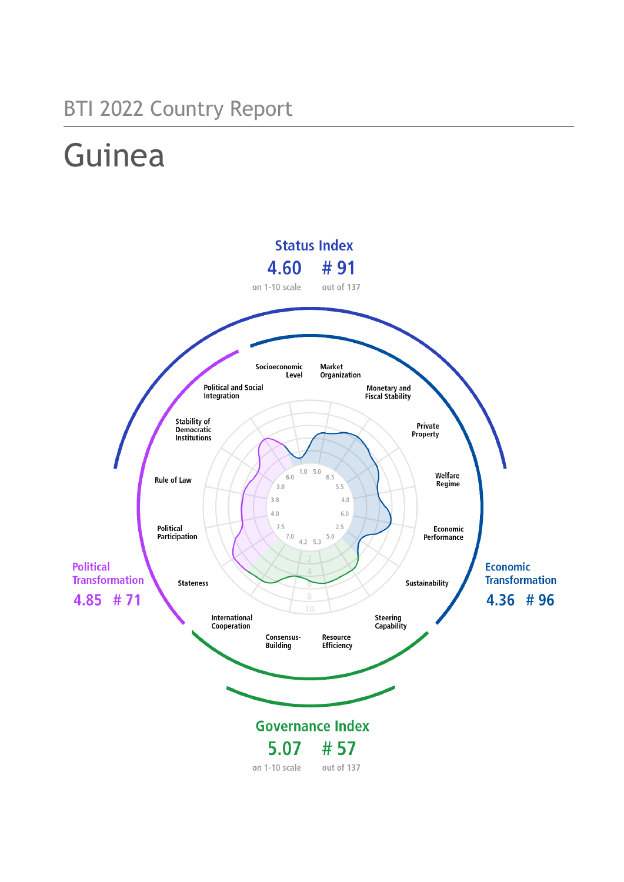## BTI 2022 Country Report

# Guinea

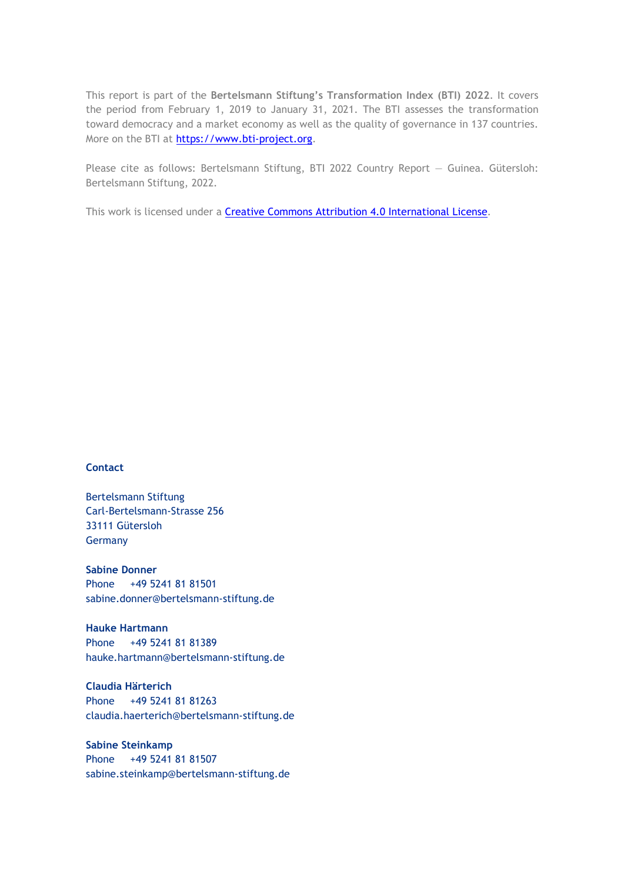This report is part of the **Bertelsmann Stiftung's Transformation Index (BTI) 2022**. It covers the period from February 1, 2019 to January 31, 2021. The BTI assesses the transformation toward democracy and a market economy as well as the quality of governance in 137 countries. More on the BTI at [https://www.bti-project.org.](http://www.bti-project.org/)

Please cite as follows: Bertelsmann Stiftung, BTI 2022 Country Report — Guinea. Gütersloh: Bertelsmann Stiftung, 2022.

This work is licensed under a **Creative Commons Attribution 4.0 International License**.

#### **Contact**

Bertelsmann Stiftung Carl-Bertelsmann-Strasse 256 33111 Gütersloh Germany

**Sabine Donner** Phone +49 5241 81 81501 sabine.donner@bertelsmann-stiftung.de

**Hauke Hartmann** Phone +49 5241 81 81389 hauke.hartmann@bertelsmann-stiftung.de

**Claudia Härterich** Phone +49 5241 81 81263 claudia.haerterich@bertelsmann-stiftung.de

#### **Sabine Steinkamp** Phone +49 5241 81 81507 sabine.steinkamp@bertelsmann-stiftung.de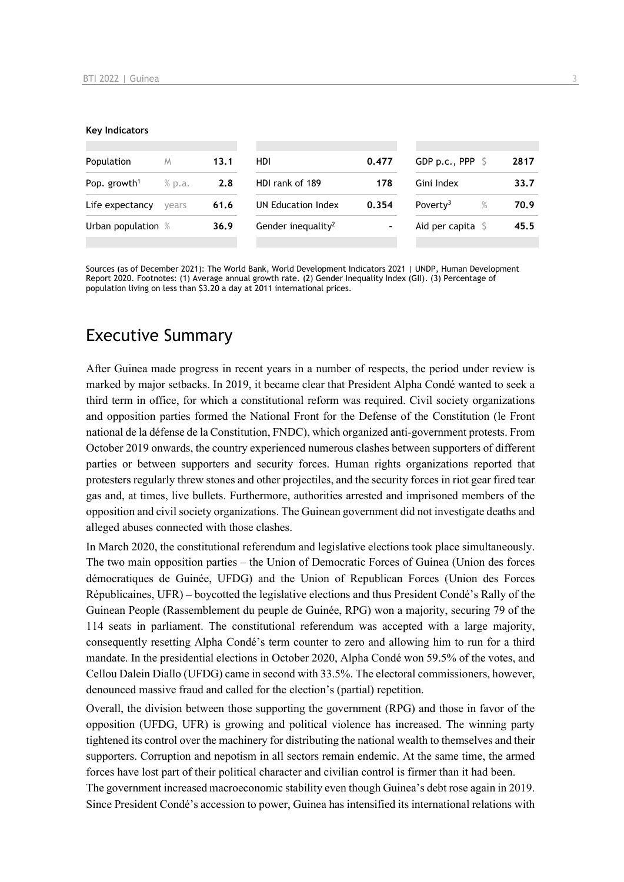#### **Key Indicators**

| Population               | M      | 13.1 | HDI.                           | 0.477          | GDP p.c., PPP $\ S$          | 2817 |
|--------------------------|--------|------|--------------------------------|----------------|------------------------------|------|
| Pop. growth <sup>1</sup> | % p.a. | 2.8  | HDI rank of 189                | 178            | Gini Index                   | 33.7 |
| Life expectancy          | vears  | 61.6 | UN Education Index             | 0.354          | Poverty <sup>3</sup><br>$\%$ | 70.9 |
| Urban population %       |        | 36.9 | Gender inequality <sup>2</sup> | $\blacksquare$ | Aid per capita $\sqrt{5}$    | 45.5 |
|                          |        |      |                                |                |                              |      |

Sources (as of December 2021): The World Bank, World Development Indicators 2021 | UNDP, Human Development Report 2020. Footnotes: (1) Average annual growth rate. (2) Gender Inequality Index (GII). (3) Percentage of population living on less than \$3.20 a day at 2011 international prices.

## Executive Summary

After Guinea made progress in recent years in a number of respects, the period under review is marked by major setbacks. In 2019, it became clear that President Alpha Condé wanted to seek a third term in office, for which a constitutional reform was required. Civil society organizations and opposition parties formed the National Front for the Defense of the Constitution (le Front national de la défense de la Constitution, FNDC), which organized anti-government protests. From October 2019 onwards, the country experienced numerous clashes between supporters of different parties or between supporters and security forces. Human rights organizations reported that protesters regularly threw stones and other projectiles, and the security forces in riot gear fired tear gas and, at times, live bullets. Furthermore, authorities arrested and imprisoned members of the opposition and civil society organizations. The Guinean government did not investigate deaths and alleged abuses connected with those clashes.

In March 2020, the constitutional referendum and legislative elections took place simultaneously. The two main opposition parties – the Union of Democratic Forces of Guinea (Union des forces démocratiques de Guinée, UFDG) and the Union of Republican Forces (Union des Forces Républicaines, UFR) – boycotted the legislative elections and thus President Condé's Rally of the Guinean People (Rassemblement du peuple de Guinée, RPG) won a majority, securing 79 of the 114 seats in parliament. The constitutional referendum was accepted with a large majority, consequently resetting Alpha Condé's term counter to zero and allowing him to run for a third mandate. In the presidential elections in October 2020, Alpha Condé won 59.5% of the votes, and Cellou Dalein Diallo (UFDG) came in second with 33.5%. The electoral commissioners, however, denounced massive fraud and called for the election's (partial) repetition.

Overall, the division between those supporting the government (RPG) and those in favor of the opposition (UFDG, UFR) is growing and political violence has increased. The winning party tightened its control over the machinery for distributing the national wealth to themselves and their supporters. Corruption and nepotism in all sectors remain endemic. At the same time, the armed forces have lost part of their political character and civilian control is firmer than it had been.

The government increased macroeconomic stability even though Guinea's debt rose again in 2019. Since President Condé's accession to power, Guinea has intensified its international relations with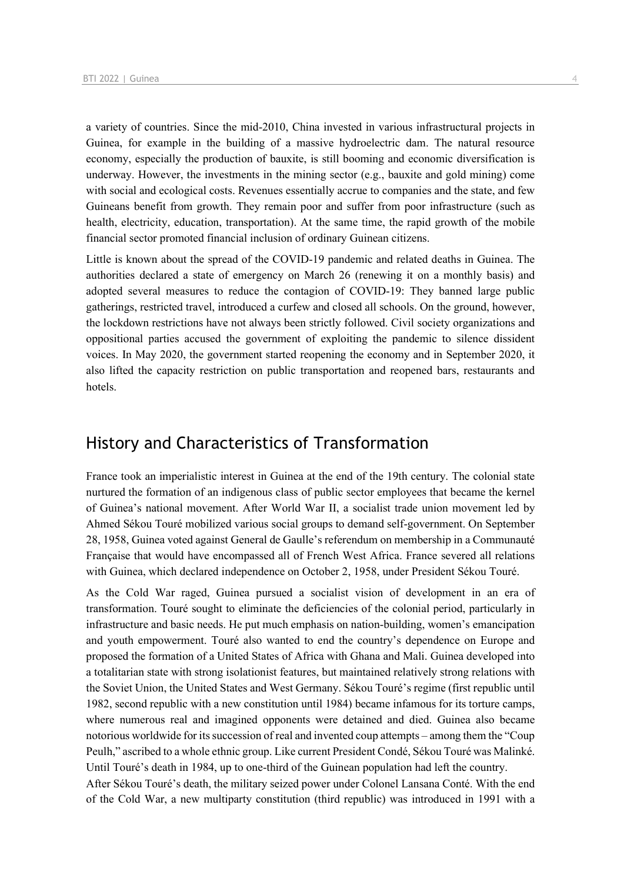a variety of countries. Since the mid-2010, China invested in various infrastructural projects in Guinea, for example in the building of a massive hydroelectric dam. The natural resource economy, especially the production of bauxite, is still booming and economic diversification is underway. However, the investments in the mining sector (e.g., bauxite and gold mining) come with social and ecological costs. Revenues essentially accrue to companies and the state, and few Guineans benefit from growth. They remain poor and suffer from poor infrastructure (such as health, electricity, education, transportation). At the same time, the rapid growth of the mobile financial sector promoted financial inclusion of ordinary Guinean citizens.

Little is known about the spread of the COVID-19 pandemic and related deaths in Guinea. The authorities declared a state of emergency on March 26 (renewing it on a monthly basis) and adopted several measures to reduce the contagion of COVID-19: They banned large public gatherings, restricted travel, introduced a curfew and closed all schools. On the ground, however, the lockdown restrictions have not always been strictly followed. Civil society organizations and oppositional parties accused the government of exploiting the pandemic to silence dissident voices. In May 2020, the government started reopening the economy and in September 2020, it also lifted the capacity restriction on public transportation and reopened bars, restaurants and hotels.

## History and Characteristics of Transformation

France took an imperialistic interest in Guinea at the end of the 19th century. The colonial state nurtured the formation of an indigenous class of public sector employees that became the kernel of Guinea's national movement. After World War II, a socialist trade union movement led by Ahmed Sékou Touré mobilized various social groups to demand self-government. On September 28, 1958, Guinea voted against General de Gaulle's referendum on membership in a Communauté Française that would have encompassed all of French West Africa. France severed all relations with Guinea, which declared independence on October 2, 1958, under President Sékou Touré.

As the Cold War raged, Guinea pursued a socialist vision of development in an era of transformation. Touré sought to eliminate the deficiencies of the colonial period, particularly in infrastructure and basic needs. He put much emphasis on nation-building, women's emancipation and youth empowerment. Touré also wanted to end the country's dependence on Europe and proposed the formation of a United States of Africa with Ghana and Mali. Guinea developed into a totalitarian state with strong isolationist features, but maintained relatively strong relations with the Soviet Union, the United States and West Germany. Sékou Touré's regime (first republic until 1982, second republic with a new constitution until 1984) became infamous for its torture camps, where numerous real and imagined opponents were detained and died. Guinea also became notorious worldwide for its succession of real and invented coup attempts – among them the "Coup Peulh," ascribed to a whole ethnic group. Like current President Condé, Sékou Touré was Malinké. Until Touré's death in 1984, up to one-third of the Guinean population had left the country.

After Sékou Touré's death, the military seized power under Colonel Lansana Conté. With the end of the Cold War, a new multiparty constitution (third republic) was introduced in 1991 with a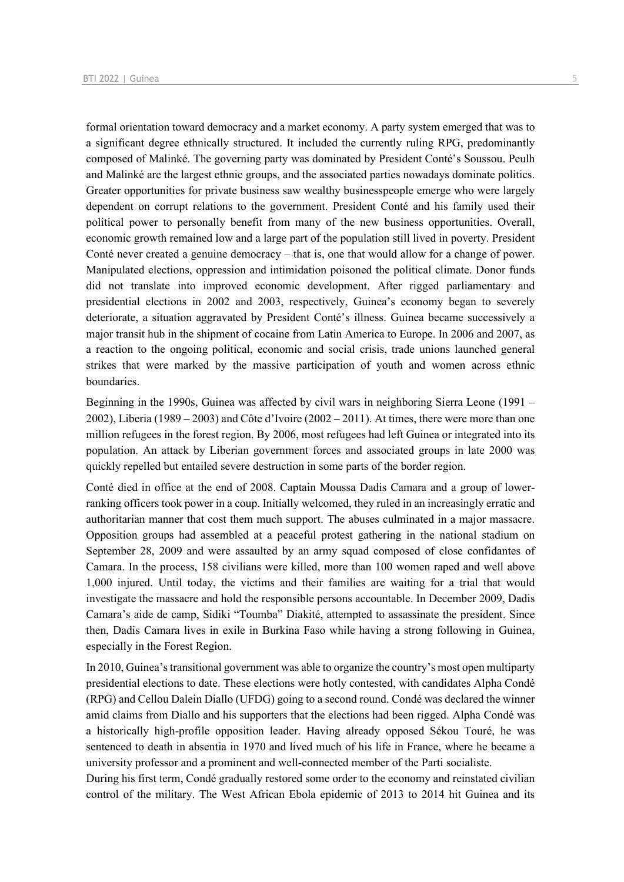formal orientation toward democracy and a market economy. A party system emerged that was to a significant degree ethnically structured. It included the currently ruling RPG, predominantly composed of Malinké. The governing party was dominated by President Conté's Soussou. Peulh and Malinké are the largest ethnic groups, and the associated parties nowadays dominate politics. Greater opportunities for private business saw wealthy businesspeople emerge who were largely dependent on corrupt relations to the government. President Conté and his family used their political power to personally benefit from many of the new business opportunities. Overall, economic growth remained low and a large part of the population still lived in poverty. President Conté never created a genuine democracy – that is, one that would allow for a change of power. Manipulated elections, oppression and intimidation poisoned the political climate. Donor funds did not translate into improved economic development. After rigged parliamentary and presidential elections in 2002 and 2003, respectively, Guinea's economy began to severely deteriorate, a situation aggravated by President Conté's illness. Guinea became successively a major transit hub in the shipment of cocaine from Latin America to Europe. In 2006 and 2007, as a reaction to the ongoing political, economic and social crisis, trade unions launched general strikes that were marked by the massive participation of youth and women across ethnic boundaries.

Beginning in the 1990s, Guinea was affected by civil wars in neighboring Sierra Leone (1991 – 2002), Liberia (1989 – 2003) and Côte d'Ivoire (2002 – 2011). At times, there were more than one million refugees in the forest region. By 2006, most refugees had left Guinea or integrated into its population. An attack by Liberian government forces and associated groups in late 2000 was quickly repelled but entailed severe destruction in some parts of the border region.

Conté died in office at the end of 2008. Captain Moussa Dadis Camara and a group of lowerranking officers took power in a coup. Initially welcomed, they ruled in an increasingly erratic and authoritarian manner that cost them much support. The abuses culminated in a major massacre. Opposition groups had assembled at a peaceful protest gathering in the national stadium on September 28, 2009 and were assaulted by an army squad composed of close confidantes of Camara. In the process, 158 civilians were killed, more than 100 women raped and well above 1,000 injured. Until today, the victims and their families are waiting for a trial that would investigate the massacre and hold the responsible persons accountable. In December 2009, Dadis Camara's aide de camp, Sidiki "Toumba" Diakité, attempted to assassinate the president. Since then, Dadis Camara lives in exile in Burkina Faso while having a strong following in Guinea, especially in the Forest Region.

In 2010, Guinea's transitional government was able to organize the country's most open multiparty presidential elections to date. These elections were hotly contested, with candidates Alpha Condé (RPG) and Cellou Dalein Diallo (UFDG) going to a second round. Condé was declared the winner amid claims from Diallo and his supporters that the elections had been rigged. Alpha Condé was a historically high-profile opposition leader. Having already opposed Sékou Touré, he was sentenced to death in absentia in 1970 and lived much of his life in France, where he became a university professor and a prominent and well-connected member of the Parti socialiste.

During his first term, Condé gradually restored some order to the economy and reinstated civilian control of the military. The West African Ebola epidemic of 2013 to 2014 hit Guinea and its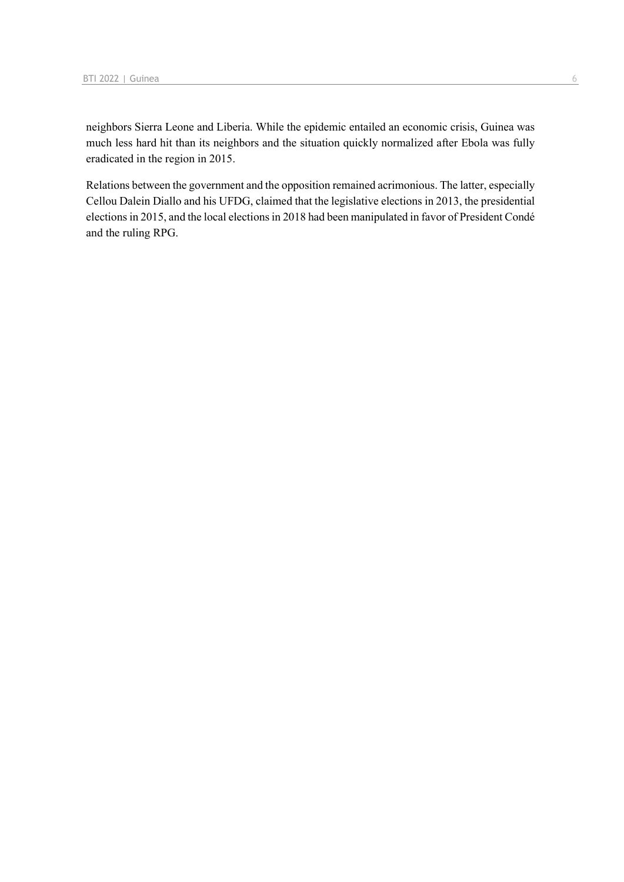neighbors Sierra Leone and Liberia. While the epidemic entailed an economic crisis, Guinea was much less hard hit than its neighbors and the situation quickly normalized after Ebola was fully eradicated in the region in 2015.

Relations between the government and the opposition remained acrimonious. The latter, especially Cellou Dalein Diallo and his UFDG, claimed that the legislative elections in 2013, the presidential elections in 2015, and the local elections in 2018 had been manipulated in favor of President Condé and the ruling RPG.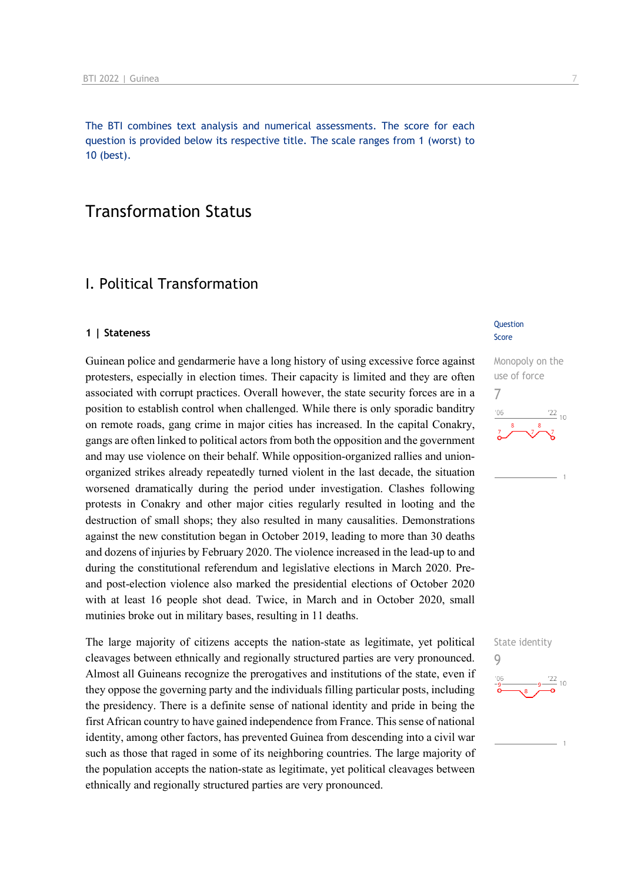The BTI combines text analysis and numerical assessments. The score for each question is provided below its respective title. The scale ranges from 1 (worst) to 10 (best).

## Transformation Status

## I. Political Transformation

#### **1 | Stateness**

Guinean police and gendarmerie have a long history of using excessive force against protesters, especially in election times. Their capacity is limited and they are often associated with corrupt practices. Overall however, the state security forces are in a position to establish control when challenged. While there is only sporadic banditry on remote roads, gang crime in major cities has increased. In the capital Conakry, gangs are often linked to political actors from both the opposition and the government and may use violence on their behalf. While opposition-organized rallies and unionorganized strikes already repeatedly turned violent in the last decade, the situation worsened dramatically during the period under investigation. Clashes following protests in Conakry and other major cities regularly resulted in looting and the destruction of small shops; they also resulted in many causalities. Demonstrations against the new constitution began in October 2019, leading to more than 30 deaths and dozens of injuries by February 2020. The violence increased in the lead-up to and during the constitutional referendum and legislative elections in March 2020. Preand post-election violence also marked the presidential elections of October 2020 with at least 16 people shot dead. Twice, in March and in October 2020, small mutinies broke out in military bases, resulting in 11 deaths.

The large majority of citizens accepts the nation-state as legitimate, yet political cleavages between ethnically and regionally structured parties are very pronounced. Almost all Guineans recognize the prerogatives and institutions of the state, even if they oppose the governing party and the individuals filling particular posts, including the presidency. There is a definite sense of national identity and pride in being the first African country to have gained independence from France. This sense of national identity, among other factors, has prevented Guinea from descending into a civil war such as those that raged in some of its neighboring countries. The large majority of the population accepts the nation-state as legitimate, yet political cleavages between ethnically and regionally structured parties are very pronounced.

#### **Question** Score

Monopoly on the use of force 7  $\frac{22}{10}$ 

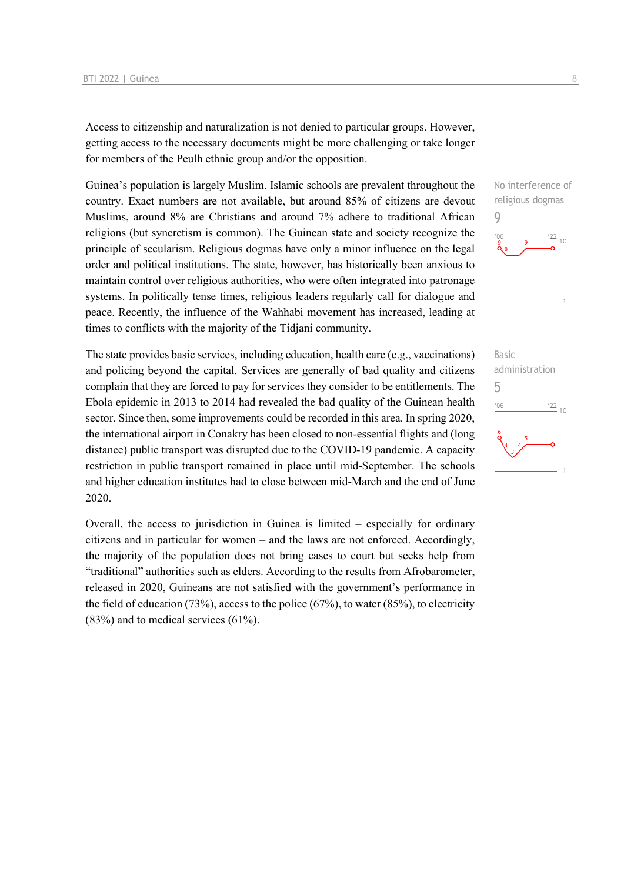Access to citizenship and naturalization is not denied to particular groups. However, getting access to the necessary documents might be more challenging or take longer for members of the Peulh ethnic group and/or the opposition.

Guinea's population is largely Muslim. Islamic schools are prevalent throughout the country. Exact numbers are not available, but around 85% of citizens are devout Muslims, around 8% are Christians and around 7% adhere to traditional African religions (but syncretism is common). The Guinean state and society recognize the principle of secularism. Religious dogmas have only a minor influence on the legal order and political institutions. The state, however, has historically been anxious to maintain control over religious authorities, who were often integrated into patronage systems. In politically tense times, religious leaders regularly call for dialogue and peace. Recently, the influence of the Wahhabi movement has increased, leading at times to conflicts with the majority of the Tidjani community.

The state provides basic services, including education, health care (e.g., vaccinations) and policing beyond the capital. Services are generally of bad quality and citizens complain that they are forced to pay for services they consider to be entitlements. The Ebola epidemic in 2013 to 2014 had revealed the bad quality of the Guinean health sector. Since then, some improvements could be recorded in this area. In spring 2020, the international airport in Conakry has been closed to non-essential flights and (long distance) public transport was disrupted due to the COVID-19 pandemic. A capacity restriction in public transport remained in place until mid-September. The schools and higher education institutes had to close between mid-March and the end of June 2020.

Overall, the access to jurisdiction in Guinea is limited – especially for ordinary citizens and in particular for women – and the laws are not enforced. Accordingly, the majority of the population does not bring cases to court but seeks help from "traditional" authorities such as elders. According to the results from Afrobarometer, released in 2020, Guineans are not satisfied with the government's performance in the field of education (73%), access to the police (67%), to water (85%), to electricity (83%) and to medical services (61%).



Basic administration 5 $106$  $\frac{22}{10}$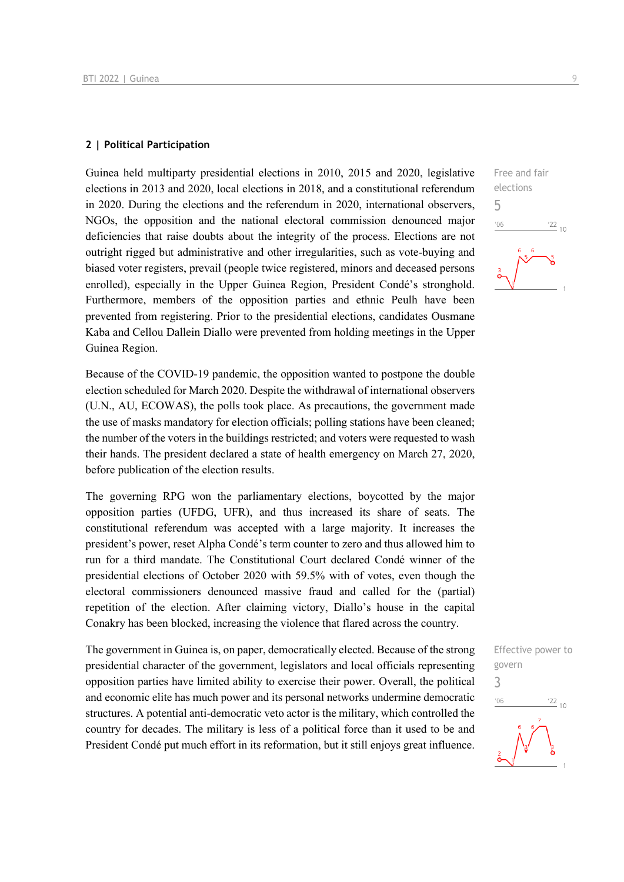#### **2 | Political Participation**

Guinea held multiparty presidential elections in 2010, 2015 and 2020, legislative elections in 2013 and 2020, local elections in 2018, and a constitutional referendum in 2020. During the elections and the referendum in 2020, international observers, NGOs, the opposition and the national electoral commission denounced major deficiencies that raise doubts about the integrity of the process. Elections are not outright rigged but administrative and other irregularities, such as vote-buying and biased voter registers, prevail (people twice registered, minors and deceased persons enrolled), especially in the Upper Guinea Region, President Condé's stronghold. Furthermore, members of the opposition parties and ethnic Peulh have been prevented from registering. Prior to the presidential elections, candidates Ousmane Kaba and Cellou Dallein Diallo were prevented from holding meetings in the Upper Guinea Region.

Because of the COVID-19 pandemic, the opposition wanted to postpone the double election scheduled for March 2020. Despite the withdrawal of international observers (U.N., AU, ECOWAS), the polls took place. As precautions, the government made the use of masks mandatory for election officials; polling stations have been cleaned; the number of the voters in the buildings restricted; and voters were requested to wash their hands. The president declared a state of health emergency on March 27, 2020, before publication of the election results.

The governing RPG won the parliamentary elections, boycotted by the major opposition parties (UFDG, UFR), and thus increased its share of seats. The constitutional referendum was accepted with a large majority. It increases the president's power, reset Alpha Condé's term counter to zero and thus allowed him to run for a third mandate. The Constitutional Court declared Condé winner of the presidential elections of October 2020 with 59.5% with of votes, even though the electoral commissioners denounced massive fraud and called for the (partial) repetition of the election. After claiming victory, Diallo's house in the capital Conakry has been blocked, increasing the violence that flared across the country.

The government in Guinea is, on paper, democratically elected. Because of the strong presidential character of the government, legislators and local officials representing opposition parties have limited ability to exercise their power. Overall, the political and economic elite has much power and its personal networks undermine democratic structures. A potential anti-democratic veto actor is the military, which controlled the country for decades. The military is less of a political force than it used to be and President Condé put much effort in its reformation, but it still enjoys great influence.

Free and fair elections 5  $06'$  $\frac{22}{10}$ 

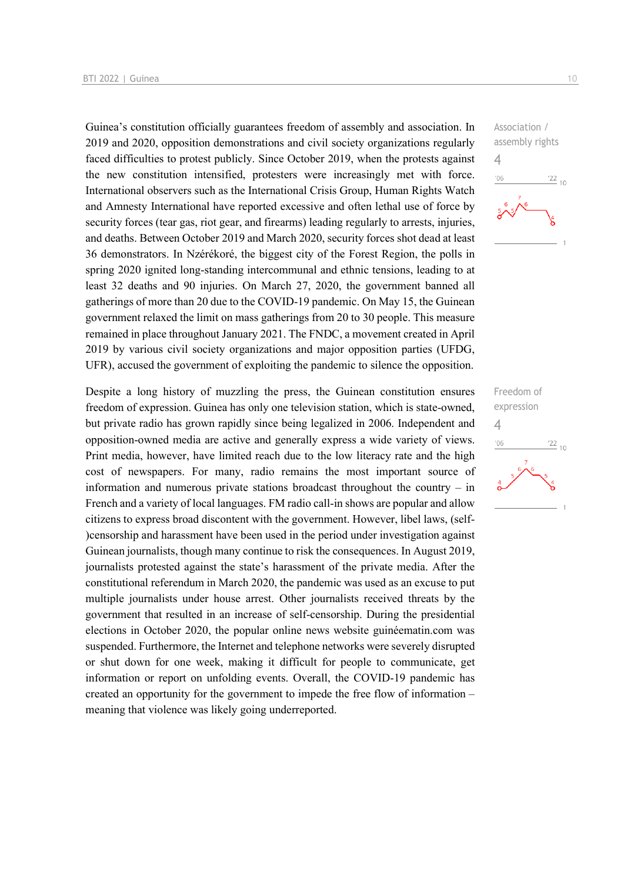Guinea's constitution officially guarantees freedom of assembly and association. In 2019 and 2020, opposition demonstrations and civil society organizations regularly faced difficulties to protest publicly. Since October 2019, when the protests against the new constitution intensified, protesters were increasingly met with force. International observers such as the International Crisis Group, Human Rights Watch and Amnesty International have reported excessive and often lethal use of force by security forces (tear gas, riot gear, and firearms) leading regularly to arrests, injuries, and deaths. Between October 2019 and March 2020, security forces shot dead at least 36 demonstrators. In Nzérékoré, the biggest city of the Forest Region, the polls in spring 2020 ignited long-standing intercommunal and ethnic tensions, leading to at least 32 deaths and 90 injuries. On March 27, 2020, the government banned all gatherings of more than 20 due to the COVID-19 pandemic. On May 15, the Guinean government relaxed the limit on mass gatherings from 20 to 30 people. This measure remained in place throughout January 2021. The FNDC, a movement created in April 2019 by various civil society organizations and major opposition parties (UFDG, UFR), accused the government of exploiting the pandemic to silence the opposition.

Despite a long history of muzzling the press, the Guinean constitution ensures freedom of expression. Guinea has only one television station, which is state-owned, but private radio has grown rapidly since being legalized in 2006. Independent and opposition-owned media are active and generally express a wide variety of views. Print media, however, have limited reach due to the low literacy rate and the high cost of newspapers. For many, radio remains the most important source of information and numerous private stations broadcast throughout the country – in French and a variety of local languages. FM radio call-in shows are popular and allow citizens to express broad discontent with the government. However, libel laws, (self- )censorship and harassment have been used in the period under investigation against Guinean journalists, though many continue to risk the consequences. In August 2019, journalists protested against the state's harassment of the private media. After the constitutional referendum in March 2020, the pandemic was used as an excuse to put multiple journalists under house arrest. Other journalists received threats by the government that resulted in an increase of self-censorship. During the presidential elections in October 2020, the popular online news website guinéematin.com was suspended. Furthermore, the Internet and telephone networks were severely disrupted or shut down for one week, making it difficult for people to communicate, get information or report on unfolding events. Overall, the COVID-19 pandemic has created an opportunity for the government to impede the free flow of information – meaning that violence was likely going underreported.



Freedom of expression 4 $\frac{22}{10}$  $-06$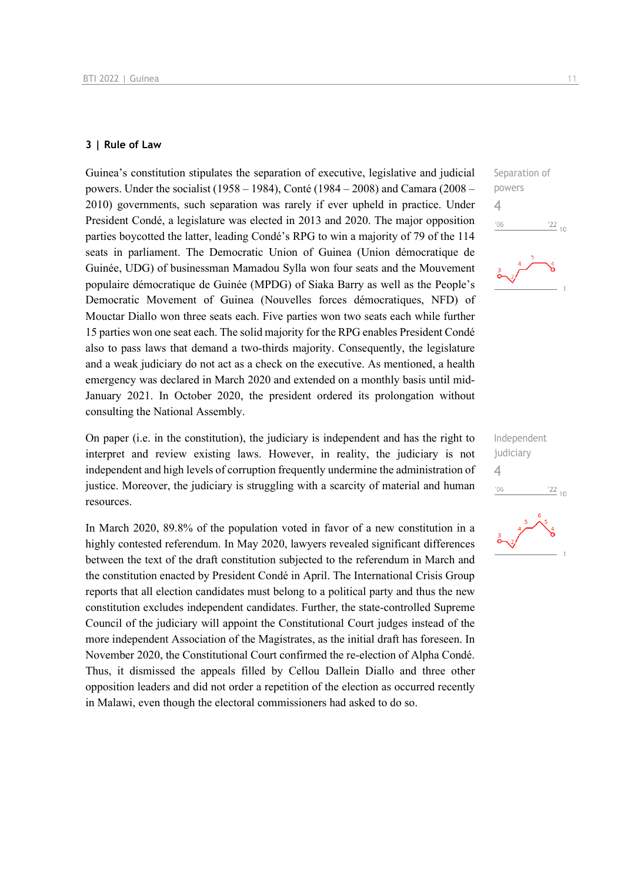#### **3 | Rule of Law**

Guinea's constitution stipulates the separation of executive, legislative and judicial powers. Under the socialist (1958 – 1984), Conté (1984 – 2008) and Camara (2008 – 2010) governments, such separation was rarely if ever upheld in practice. Under President Condé, a legislature was elected in 2013 and 2020. The major opposition parties boycotted the latter, leading Condé's RPG to win a majority of 79 of the 114 seats in parliament. The Democratic Union of Guinea (Union démocratique de Guinée, UDG) of businessman Mamadou Sylla won four seats and the Mouvement populaire démocratique de Guinée (MPDG) of Siaka Barry as well as the People's Democratic Movement of Guinea (Nouvelles forces démocratiques, NFD) of Mouctar Diallo won three seats each. Five parties won two seats each while further 15 parties won one seat each. The solid majority for the RPG enables President Condé also to pass laws that demand a two-thirds majority. Consequently, the legislature and a weak judiciary do not act as a check on the executive. As mentioned, a health emergency was declared in March 2020 and extended on a monthly basis until mid-January 2021. In October 2020, the president ordered its prolongation without consulting the National Assembly.

On paper (i.e. in the constitution), the judiciary is independent and has the right to interpret and review existing laws. However, in reality, the judiciary is not independent and high levels of corruption frequently undermine the administration of justice. Moreover, the judiciary is struggling with a scarcity of material and human resources.

In March 2020, 89.8% of the population voted in favor of a new constitution in a highly contested referendum. In May 2020, lawyers revealed significant differences between the text of the draft constitution subjected to the referendum in March and the constitution enacted by President Condé in April. The International Crisis Group reports that all election candidates must belong to a political party and thus the new constitution excludes independent candidates. Further, the state-controlled Supreme Council of the judiciary will appoint the Constitutional Court judges instead of the more independent Association of the Magistrates, as the initial draft has foreseen. In November 2020, the Constitutional Court confirmed the re-election of Alpha Condé. Thus, it dismissed the appeals filled by Cellou Dallein Diallo and three other opposition leaders and did not order a repetition of the election as occurred recently in Malawi, even though the electoral commissioners had asked to do so.



Independent judiciary 4 $\frac{22}{10}$  $106$ 

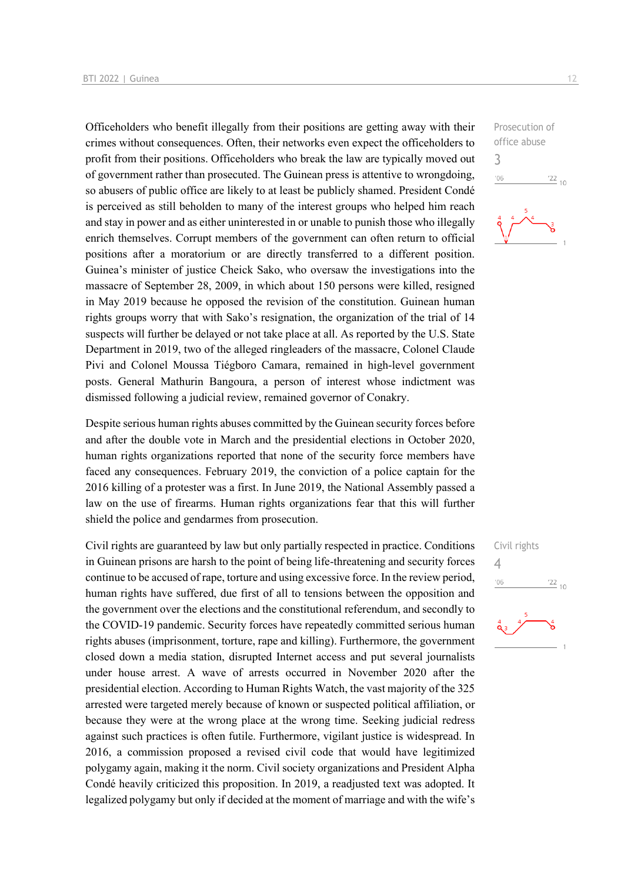Officeholders who benefit illegally from their positions are getting away with their crimes without consequences. Often, their networks even expect the officeholders to profit from their positions. Officeholders who break the law are typically moved out of government rather than prosecuted. The Guinean press is attentive to wrongdoing, so abusers of public office are likely to at least be publicly shamed. President Condé is perceived as still beholden to many of the interest groups who helped him reach and stay in power and as either uninterested in or unable to punish those who illegally enrich themselves. Corrupt members of the government can often return to official positions after a moratorium or are directly transferred to a different position. Guinea's minister of justice Cheick Sako, who oversaw the investigations into the massacre of September 28, 2009, in which about 150 persons were killed, resigned in May 2019 because he opposed the revision of the constitution. Guinean human rights groups worry that with Sako's resignation, the organization of the trial of 14 suspects will further be delayed or not take place at all. As reported by the U.S. State Department in 2019, two of the alleged ringleaders of the massacre, Colonel Claude Pivi and Colonel Moussa Tiégboro Camara, remained in high-level government posts. General Mathurin Bangoura, a person of interest whose indictment was dismissed following a judicial review, remained governor of Conakry.

Despite serious human rights abuses committed by the Guinean security forces before and after the double vote in March and the presidential elections in October 2020, human rights organizations reported that none of the security force members have faced any consequences. February 2019, the conviction of a police captain for the 2016 killing of a protester was a first. In June 2019, the National Assembly passed a law on the use of firearms. Human rights organizations fear that this will further shield the police and gendarmes from prosecution.

Civil rights are guaranteed by law but only partially respected in practice. Conditions in Guinean prisons are harsh to the point of being life-threatening and security forces continue to be accused of rape, torture and using excessive force. In the review period, human rights have suffered, due first of all to tensions between the opposition and the government over the elections and the constitutional referendum, and secondly to the COVID-19 pandemic. Security forces have repeatedly committed serious human rights abuses (imprisonment, torture, rape and killing). Furthermore, the government closed down a media station, disrupted Internet access and put several journalists under house arrest. A wave of arrests occurred in November 2020 after the presidential election. According to Human Rights Watch, the vast majority of the 325 arrested were targeted merely because of known or suspected political affiliation, or because they were at the wrong place at the wrong time. Seeking judicial redress against such practices is often futile. Furthermore, vigilant justice is widespread. In 2016, a commission proposed a revised civil code that would have legitimized polygamy again, making it the norm. Civil society organizations and President Alpha Condé heavily criticized this proposition. In 2019, a readjusted text was adopted. It legalized polygamy but only if decided at the moment of marriage and with the wife's

Prosecution of office abuse 3  $-06$  $\frac{22}{10}$ 



Civil rights  $\Delta$  $\frac{22}{10}$  $106$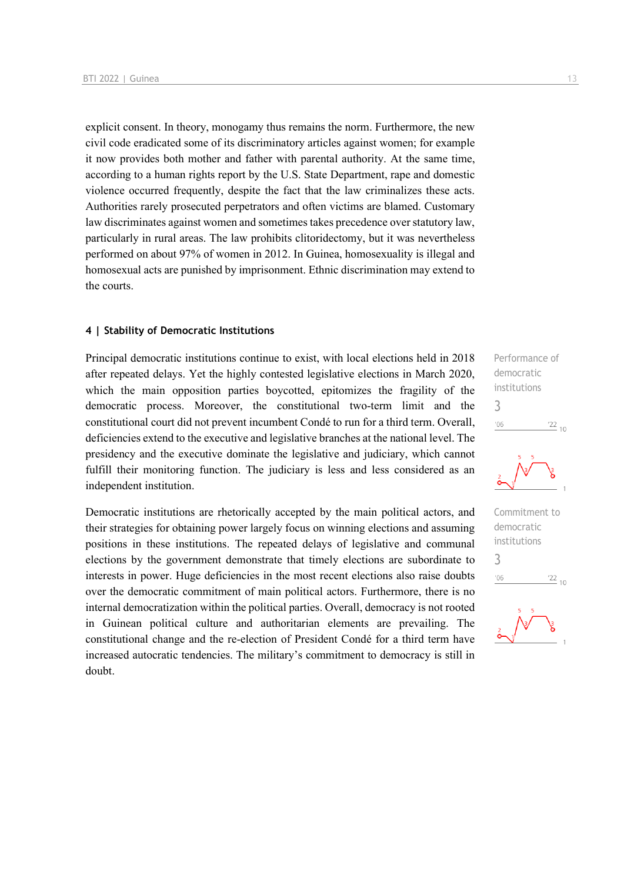explicit consent. In theory, monogamy thus remains the norm. Furthermore, the new civil code eradicated some of its discriminatory articles against women; for example it now provides both mother and father with parental authority. At the same time, according to a human rights report by the U.S. State Department, rape and domestic violence occurred frequently, despite the fact that the law criminalizes these acts. Authorities rarely prosecuted perpetrators and often victims are blamed. Customary law discriminates against women and sometimes takes precedence over statutory law, particularly in rural areas. The law prohibits clitoridectomy, but it was nevertheless performed on about 97% of women in 2012. In Guinea, homosexuality is illegal and homosexual acts are punished by imprisonment. Ethnic discrimination may extend to the courts.

#### **4 | Stability of Democratic Institutions**

Principal democratic institutions continue to exist, with local elections held in 2018 after repeated delays. Yet the highly contested legislative elections in March 2020, which the main opposition parties boycotted, epitomizes the fragility of the democratic process. Moreover, the constitutional two-term limit and the constitutional court did not prevent incumbent Condé to run for a third term. Overall, deficiencies extend to the executive and legislative branches at the national level. The presidency and the executive dominate the legislative and judiciary, which cannot fulfill their monitoring function. The judiciary is less and less considered as an independent institution.

Democratic institutions are rhetorically accepted by the main political actors, and their strategies for obtaining power largely focus on winning elections and assuming positions in these institutions. The repeated delays of legislative and communal elections by the government demonstrate that timely elections are subordinate to interests in power. Huge deficiencies in the most recent elections also raise doubts over the democratic commitment of main political actors. Furthermore, there is no internal democratization within the political parties. Overall, democracy is not rooted in Guinean political culture and authoritarian elements are prevailing. The constitutional change and the re-election of President Condé for a third term have increased autocratic tendencies. The military's commitment to democracy is still in doubt.

Performance of democratic institutions 3  $\frac{22}{10}$  $^{\prime}06$ 



Commitment to democratic institutions 3 $^{\prime}06$  $\frac{22}{10}$ 

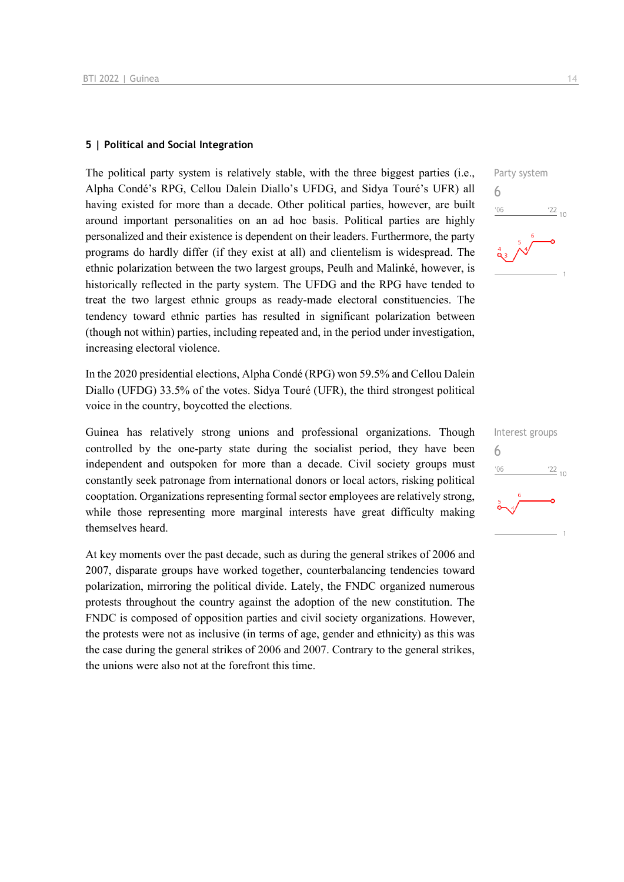#### **5 | Political and Social Integration**

The political party system is relatively stable, with the three biggest parties (i.e., Alpha Condé's RPG, Cellou Dalein Diallo's UFDG, and Sidya Touré's UFR) all having existed for more than a decade. Other political parties, however, are built around important personalities on an ad hoc basis. Political parties are highly personalized and their existence is dependent on their leaders. Furthermore, the party programs do hardly differ (if they exist at all) and clientelism is widespread. The ethnic polarization between the two largest groups, Peulh and Malinké, however, is historically reflected in the party system. The UFDG and the RPG have tended to treat the two largest ethnic groups as ready-made electoral constituencies. The tendency toward ethnic parties has resulted in significant polarization between (though not within) parties, including repeated and, in the period under investigation, increasing electoral violence.

In the 2020 presidential elections, Alpha Condé (RPG) won 59.5% and Cellou Dalein Diallo (UFDG) 33.5% of the votes. Sidya Touré (UFR), the third strongest political voice in the country, boycotted the elections.

Guinea has relatively strong unions and professional organizations. Though controlled by the one-party state during the socialist period, they have been independent and outspoken for more than a decade. Civil society groups must constantly seek patronage from international donors or local actors, risking political cooptation. Organizations representing formal sector employees are relatively strong, while those representing more marginal interests have great difficulty making themselves heard.

At key moments over the past decade, such as during the general strikes of 2006 and 2007, disparate groups have worked together, counterbalancing tendencies toward polarization, mirroring the political divide. Lately, the FNDC organized numerous protests throughout the country against the adoption of the new constitution. The FNDC is composed of opposition parties and civil society organizations. However, the protests were not as inclusive (in terms of age, gender and ethnicity) as this was the case during the general strikes of 2006 and 2007. Contrary to the general strikes, the unions were also not at the forefront this time.



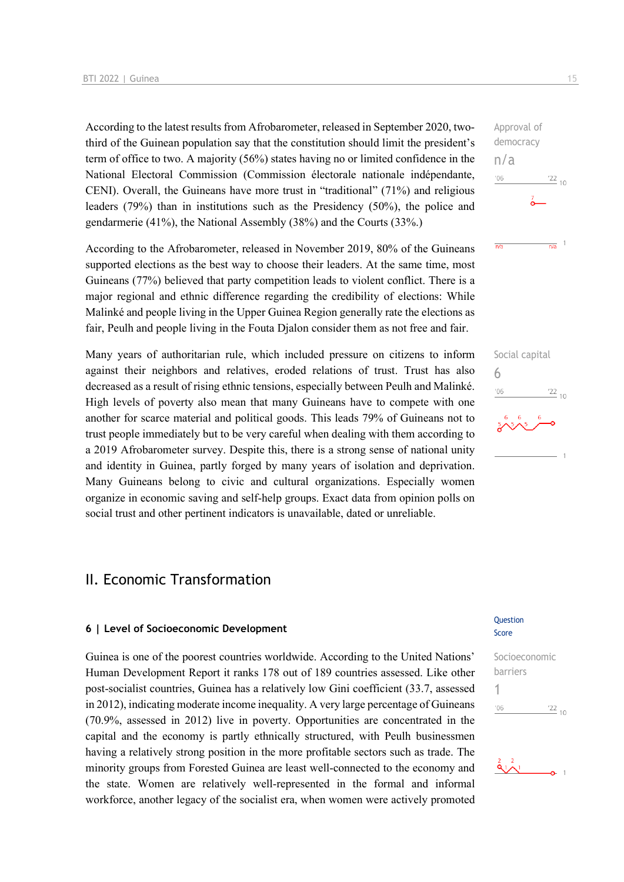According to the latest results from Afrobarometer, released in September 2020, twothird of the Guinean population say that the constitution should limit the president's term of office to two. A majority (56%) states having no or limited confidence in the National Electoral Commission (Commission électorale nationale indépendante, CENI). Overall, the Guineans have more trust in "traditional" (71%) and religious leaders (79%) than in institutions such as the Presidency (50%), the police and gendarmerie (41%), the National Assembly (38%) and the Courts (33%.)

According to the Afrobarometer, released in November 2019, 80% of the Guineans supported elections as the best way to choose their leaders. At the same time, most Guineans (77%) believed that party competition leads to violent conflict. There is a major regional and ethnic difference regarding the credibility of elections: While Malinké and people living in the Upper Guinea Region generally rate the elections as fair, Peulh and people living in the Fouta Djalon consider them as not free and fair.

Many years of authoritarian rule, which included pressure on citizens to inform against their neighbors and relatives, eroded relations of trust. Trust has also decreased as a result of rising ethnic tensions, especially between Peulh and Malinké. High levels of poverty also mean that many Guineans have to compete with one another for scarce material and political goods. This leads 79% of Guineans not to trust people immediately but to be very careful when dealing with them according to a 2019 Afrobarometer survey. Despite this, there is a strong sense of national unity and identity in Guinea, partly forged by many years of isolation and deprivation. Many Guineans belong to civic and cultural organizations. Especially women organize in economic saving and self-help groups. Exact data from opinion polls on social trust and other pertinent indicators is unavailable, dated or unreliable.

## II. Economic Transformation

#### **6 | Level of Socioeconomic Development**

Guinea is one of the poorest countries worldwide. According to the United Nations' Human Development Report it ranks 178 out of 189 countries assessed. Like other post-socialist countries, Guinea has a relatively low Gini coefficient (33.7, assessed in 2012), indicating moderate income inequality. A very large percentage of Guineans (70.9%, assessed in 2012) live in poverty. Opportunities are concentrated in the capital and the economy is partly ethnically structured, with Peulh businessmen having a relatively strong position in the more profitable sectors such as trade. The minority groups from Forested Guinea are least well-connected to the economy and the state. Women are relatively well-represented in the formal and informal workforce, another legacy of the socialist era, when women were actively promoted Approval of democracy n/a  $-06$  $\frac{22}{10}$ 

 $\overline{n/a}$ 



#### Question Score





 $\frac{1}{n/a}$  1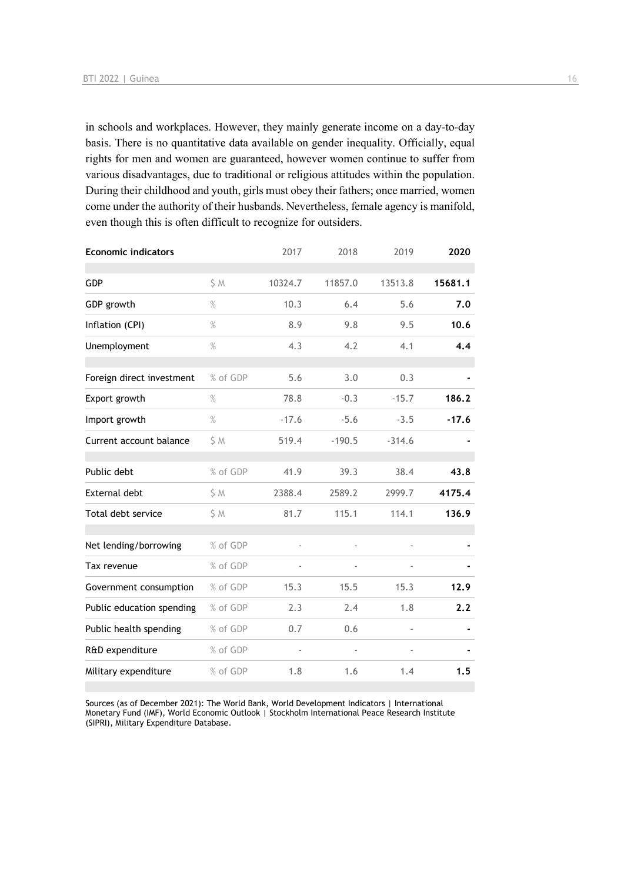in schools and workplaces. However, they mainly generate income on a day-to-day basis. There is no quantitative data available on gender inequality. Officially, equal rights for men and women are guaranteed, however women continue to suffer from various disadvantages, due to traditional or religious attitudes within the population. During their childhood and youth, girls must obey their fathers; once married, women come under the authority of their husbands. Nevertheless, female agency is manifold, even though this is often difficult to recognize for outsiders.

| <b>Economic indicators</b> |          | 2017    | 2018     | 2019     | 2020    |
|----------------------------|----------|---------|----------|----------|---------|
| GDP                        | S M      | 10324.7 | 11857.0  | 13513.8  | 15681.1 |
| GDP growth                 | $\%$     | 10.3    | 6.4      | 5.6      | 7.0     |
| Inflation (CPI)            | $\%$     | 8.9     | 9.8      | 9.5      | 10.6    |
| Unemployment               | $\%$     | 4.3     | 4.2      | 4.1      | 4.4     |
| Foreign direct investment  | % of GDP | 5.6     | 3.0      | 0.3      |         |
| Export growth              | $\%$     | 78.8    | $-0.3$   | $-15.7$  | 186.2   |
| Import growth              | $\%$     | $-17.6$ | $-5.6$   | $-3.5$   | $-17.6$ |
| Current account balance    | \$M      | 519.4   | $-190.5$ | $-314.6$ |         |
| Public debt                | % of GDP | 41.9    | 39.3     | 38.4     | 43.8    |
| External debt              | \$ M     | 2388.4  | 2589.2   | 2999.7   | 4175.4  |
| Total debt service         | \$M      | 81.7    | 115.1    | 114.1    | 136.9   |
| Net lending/borrowing      | % of GDP |         | ä,       |          |         |
| Tax revenue                | % of GDP |         |          |          |         |
| Government consumption     | % of GDP | 15.3    | 15.5     | 15.3     | 12.9    |
| Public education spending  | % of GDP | 2.3     | 2.4      | 1.8      | 2.2     |
| Public health spending     | % of GDP | 0.7     | 0.6      |          |         |
| R&D expenditure            | % of GDP |         |          |          |         |
| Military expenditure       | % of GDP | 1.8     | 1.6      | 1.4      | 1.5     |

Sources (as of December 2021): The World Bank, World Development Indicators | International Monetary Fund (IMF), World Economic Outlook | Stockholm International Peace Research Institute (SIPRI), Military Expenditure Database.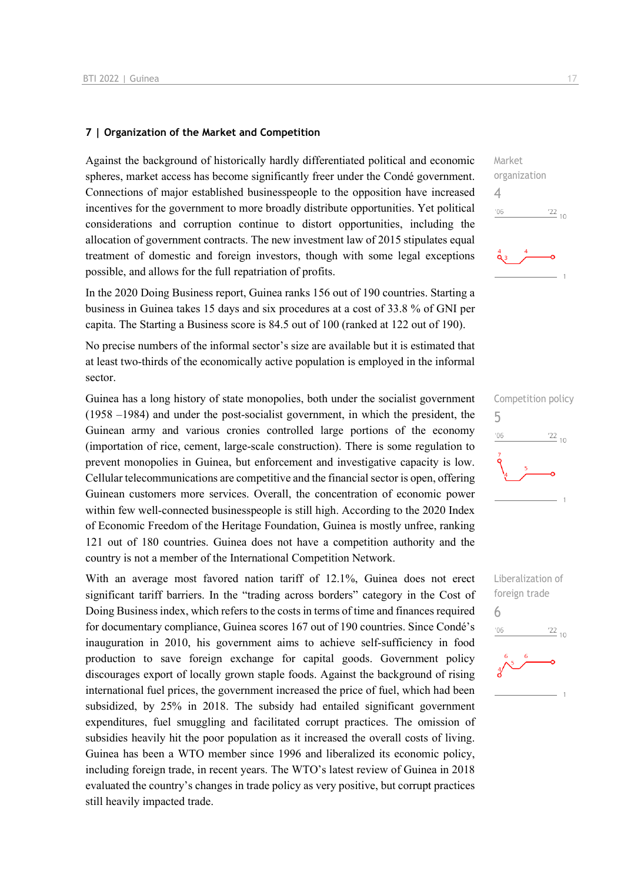#### **7 | Organization of the Market and Competition**

Against the background of historically hardly differentiated political and economic spheres, market access has become significantly freer under the Condé government. Connections of major established businesspeople to the opposition have increased incentives for the government to more broadly distribute opportunities. Yet political considerations and corruption continue to distort opportunities, including the allocation of government contracts. The new investment law of 2015 stipulates equal treatment of domestic and foreign investors, though with some legal exceptions possible, and allows for the full repatriation of profits.

In the 2020 Doing Business report, Guinea ranks 156 out of 190 countries. Starting a business in Guinea takes 15 days and six procedures at a cost of 33.8 % of GNI per capita. The Starting a Business score is 84.5 out of 100 (ranked at 122 out of 190).

No precise numbers of the informal sector's size are available but it is estimated that at least two-thirds of the economically active population is employed in the informal sector.

Guinea has a long history of state monopolies, both under the socialist government (1958 –1984) and under the post-socialist government, in which the president, the Guinean army and various cronies controlled large portions of the economy (importation of rice, cement, large-scale construction). There is some regulation to prevent monopolies in Guinea, but enforcement and investigative capacity is low. Cellular telecommunications are competitive and the financial sector is open, offering Guinean customers more services. Overall, the concentration of economic power within few well-connected businesspeople is still high. According to the 2020 Index of Economic Freedom of the Heritage Foundation, Guinea is mostly unfree, ranking 121 out of 180 countries. Guinea does not have a competition authority and the country is not a member of the International Competition Network.

With an average most favored nation tariff of 12.1%, Guinea does not erect significant tariff barriers. In the "trading across borders" category in the Cost of Doing Business index, which refers to the costs in terms of time and finances required for documentary compliance, Guinea scores 167 out of 190 countries. Since Condé's inauguration in 2010, his government aims to achieve self-sufficiency in food production to save foreign exchange for capital goods. Government policy discourages export of locally grown staple foods. Against the background of rising international fuel prices, the government increased the price of fuel, which had been subsidized, by 25% in 2018. The subsidy had entailed significant government expenditures, fuel smuggling and facilitated corrupt practices. The omission of subsidies heavily hit the poor population as it increased the overall costs of living. Guinea has been a WTO member since 1996 and liberalized its economic policy, including foreign trade, in recent years. The WTO's latest review of Guinea in 2018 evaluated the country's changes in trade policy as very positive, but corrupt practices still heavily impacted trade.





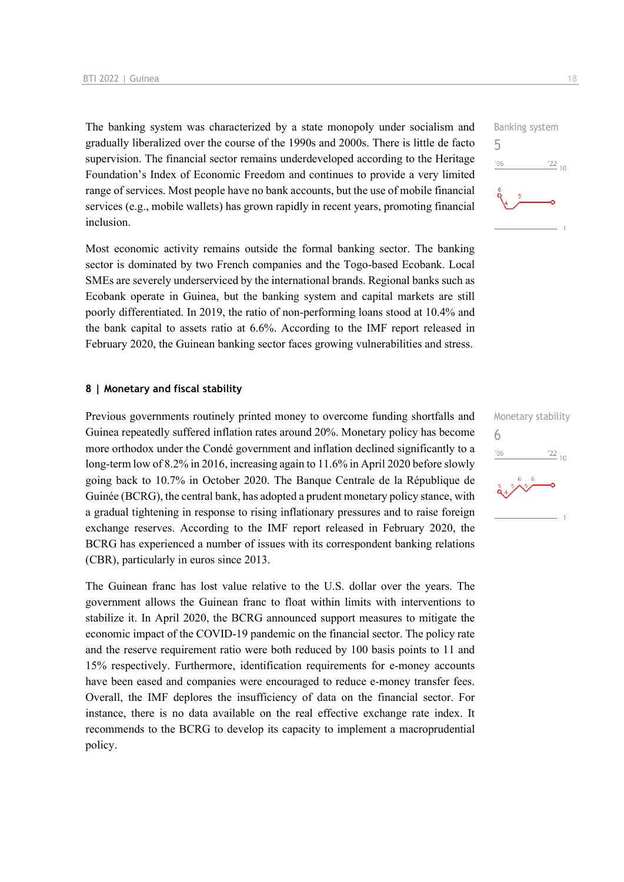The banking system was characterized by a state monopoly under socialism and gradually liberalized over the course of the 1990s and 2000s. There is little de facto supervision. The financial sector remains underdeveloped according to the Heritage Foundation's Index of Economic Freedom and continues to provide a very limited range of services. Most people have no bank accounts, but the use of mobile financial services (e.g., mobile wallets) has grown rapidly in recent years, promoting financial inclusion.

Most economic activity remains outside the formal banking sector. The banking sector is dominated by two French companies and the Togo-based Ecobank. Local SMEs are severely underserviced by the international brands. Regional banks such as Ecobank operate in Guinea, but the banking system and capital markets are still poorly differentiated. In 2019, the ratio of non-performing loans stood at 10.4% and the bank capital to assets ratio at 6.6%. According to the IMF report released in February 2020, the Guinean banking sector faces growing vulnerabilities and stress.

#### **8 | Monetary and fiscal stability**

Previous governments routinely printed money to overcome funding shortfalls and Guinea repeatedly suffered inflation rates around 20%. Monetary policy has become more orthodox under the Condé government and inflation declined significantly to a long-term low of 8.2% in 2016, increasing again to 11.6% in April 2020 before slowly going back to 10.7% in October 2020. The Banque Centrale de la République de Guinée (BCRG), the central bank, has adopted a prudent monetary policy stance, with a gradual tightening in response to rising inflationary pressures and to raise foreign exchange reserves. According to the IMF report released in February 2020, the BCRG has experienced a number of issues with its correspondent banking relations (CBR), particularly in euros since 2013.

The Guinean franc has lost value relative to the U.S. dollar over the years. The government allows the Guinean franc to float within limits with interventions to stabilize it. In April 2020, the BCRG announced support measures to mitigate the economic impact of the COVID-19 pandemic on the financial sector. The policy rate and the reserve requirement ratio were both reduced by 100 basis points to 11 and 15% respectively. Furthermore, identification requirements for e-money accounts have been eased and companies were encouraged to reduce e-money transfer fees. Overall, the IMF deplores the insufficiency of data on the financial sector. For instance, there is no data available on the real effective exchange rate index. It recommends to the BCRG to develop its capacity to implement a macroprudential policy.



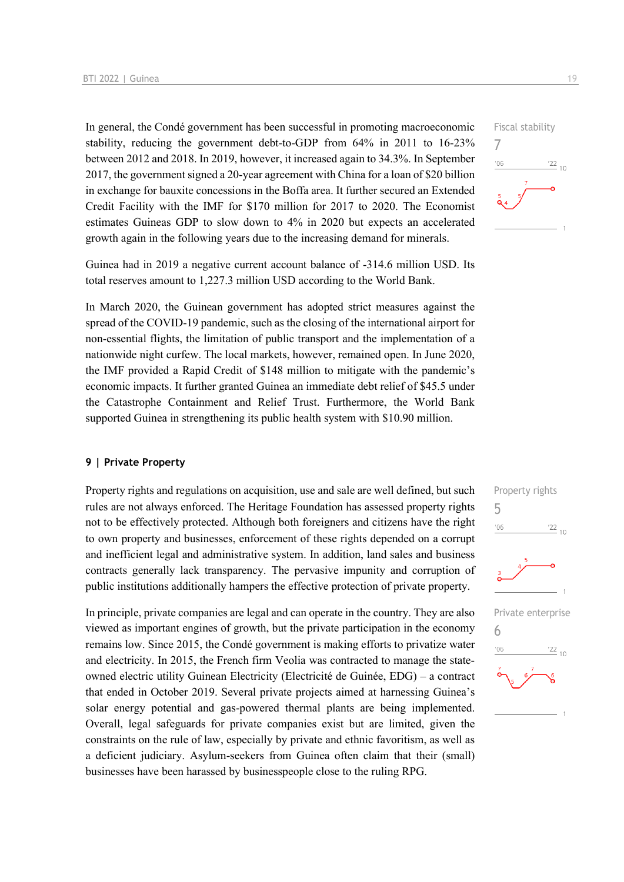In general, the Condé government has been successful in promoting macroeconomic stability, reducing the government debt-to-GDP from 64% in 2011 to 16-23% between 2012 and 2018. In 2019, however, it increased again to 34.3%. In September 2017, the government signed a 20-year agreement with China for a loan of \$20 billion in exchange for bauxite concessions in the Boffa area. It further secured an Extended Credit Facility with the IMF for \$170 million for 2017 to 2020. The Economist estimates Guineas GDP to slow down to 4% in 2020 but expects an accelerated growth again in the following years due to the increasing demand for minerals.

Guinea had in 2019 a negative current account balance of -314.6 million USD. Its total reserves amount to 1,227.3 million USD according to the World Bank.

In March 2020, the Guinean government has adopted strict measures against the spread of the COVID-19 pandemic, such as the closing of the international airport for non-essential flights, the limitation of public transport and the implementation of a nationwide night curfew. The local markets, however, remained open. In June 2020, the IMF provided a Rapid Credit of \$148 million to mitigate with the pandemic's economic impacts. It further granted Guinea an immediate debt relief of \$45.5 under the Catastrophe Containment and Relief Trust. Furthermore, the World Bank supported Guinea in strengthening its public health system with \$10.90 million.

#### **9 | Private Property**

Property rights and regulations on acquisition, use and sale are well defined, but such rules are not always enforced. The Heritage Foundation has assessed property rights not to be effectively protected. Although both foreigners and citizens have the right to own property and businesses, enforcement of these rights depended on a corrupt and inefficient legal and administrative system. In addition, land sales and business contracts generally lack transparency. The pervasive impunity and corruption of public institutions additionally hampers the effective protection of private property.

In principle, private companies are legal and can operate in the country. They are also viewed as important engines of growth, but the private participation in the economy remains low. Since 2015, the Condé government is making efforts to privatize water and electricity. In 2015, the French firm Veolia was contracted to manage the stateowned electric utility Guinean Electricity (Electricité de Guinée, EDG) – a contract that ended in October 2019. Several private projects aimed at harnessing Guinea's solar energy potential and gas-powered thermal plants are being implemented. Overall, legal safeguards for private companies exist but are limited, given the constraints on the rule of law, especially by private and ethnic favoritism, as well as a deficient judiciary. Asylum-seekers from Guinea often claim that their (small) businesses have been harassed by businesspeople close to the ruling RPG.



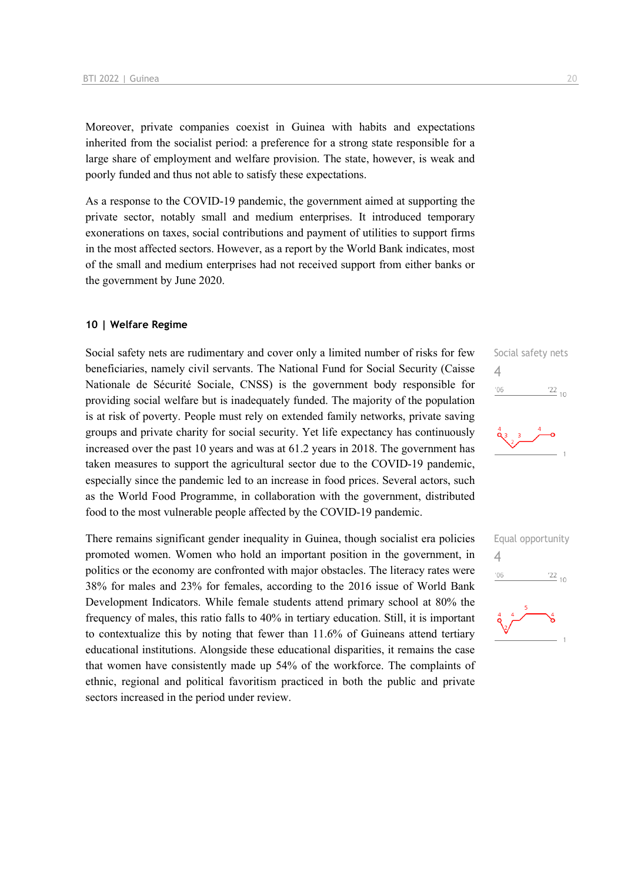Moreover, private companies coexist in Guinea with habits and expectations inherited from the socialist period: a preference for a strong state responsible for a large share of employment and welfare provision. The state, however, is weak and poorly funded and thus not able to satisfy these expectations.

As a response to the COVID-19 pandemic, the government aimed at supporting the private sector, notably small and medium enterprises. It introduced temporary exonerations on taxes, social contributions and payment of utilities to support firms in the most affected sectors. However, as a report by the World Bank indicates, most of the small and medium enterprises had not received support from either banks or the government by June 2020.

#### **10 | Welfare Regime**

Social safety nets are rudimentary and cover only a limited number of risks for few beneficiaries, namely civil servants. The National Fund for Social Security (Caisse Nationale de Sécurité Sociale, CNSS) is the government body responsible for providing social welfare but is inadequately funded. The majority of the population is at risk of poverty. People must rely on extended family networks, private saving groups and private charity for social security. Yet life expectancy has continuously increased over the past 10 years and was at 61.2 years in 2018. The government has taken measures to support the agricultural sector due to the COVID-19 pandemic, especially since the pandemic led to an increase in food prices. Several actors, such as the World Food Programme, in collaboration with the government, distributed food to the most vulnerable people affected by the COVID-19 pandemic.

There remains significant gender inequality in Guinea, though socialist era policies promoted women. Women who hold an important position in the government, in politics or the economy are confronted with major obstacles. The literacy rates were 38% for males and 23% for females, according to the 2016 issue of World Bank Development Indicators. While female students attend primary school at 80% the frequency of males, this ratio falls to 40% in tertiary education. Still, it is important to contextualize this by noting that fewer than 11.6% of Guineans attend tertiary educational institutions. Alongside these educational disparities, it remains the case that women have consistently made up 54% of the workforce. The complaints of ethnic, regional and political favoritism practiced in both the public and private sectors increased in the period under review.



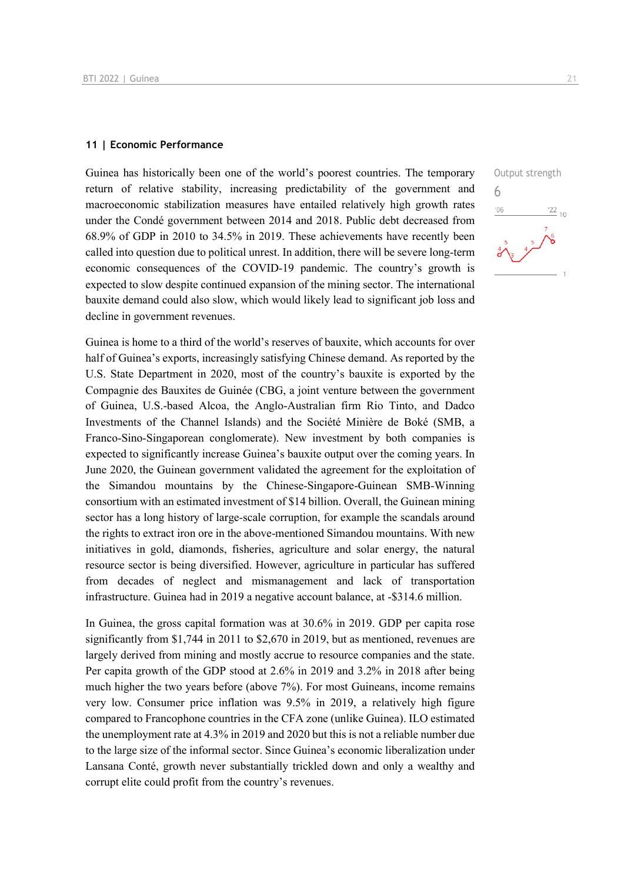#### **11 | Economic Performance**

Guinea has historically been one of the world's poorest countries. The temporary return of relative stability, increasing predictability of the government and macroeconomic stabilization measures have entailed relatively high growth rates under the Condé government between 2014 and 2018. Public debt decreased from 68.9% of GDP in 2010 to 34.5% in 2019. These achievements have recently been called into question due to political unrest. In addition, there will be severe long-term economic consequences of the COVID-19 pandemic. The country's growth is expected to slow despite continued expansion of the mining sector. The international bauxite demand could also slow, which would likely lead to significant job loss and decline in government revenues.

Guinea is home to a third of the world's reserves of bauxite, which accounts for over half of Guinea's exports, increasingly satisfying Chinese demand. As reported by the U.S. State Department in 2020, most of the country's bauxite is exported by the Compagnie des Bauxites de Guinée (CBG, a joint venture between the government of Guinea, U.S.-based Alcoa, the Anglo-Australian firm Rio Tinto, and Dadco Investments of the Channel Islands) and the Société Minière de Boké (SMB, a Franco-Sino-Singaporean conglomerate). New investment by both companies is expected to significantly increase Guinea's bauxite output over the coming years. In June 2020, the Guinean government validated the agreement for the exploitation of the Simandou mountains by the Chinese-Singapore-Guinean SMB-Winning consortium with an estimated investment of \$14 billion. Overall, the Guinean mining sector has a long history of large-scale corruption, for example the scandals around the rights to extract iron ore in the above-mentioned Simandou mountains. With new initiatives in gold, diamonds, fisheries, agriculture and solar energy, the natural resource sector is being diversified. However, agriculture in particular has suffered from decades of neglect and mismanagement and lack of transportation infrastructure. Guinea had in 2019 a negative account balance, at -\$314.6 million.

In Guinea, the gross capital formation was at 30.6% in 2019. GDP per capita rose significantly from \$1,744 in 2011 to \$2,670 in 2019, but as mentioned, revenues are largely derived from mining and mostly accrue to resource companies and the state. Per capita growth of the GDP stood at 2.6% in 2019 and 3.2% in 2018 after being much higher the two years before (above 7%). For most Guineans, income remains very low. Consumer price inflation was 9.5% in 2019, a relatively high figure compared to Francophone countries in the CFA zone (unlike Guinea). ILO estimated the unemployment rate at 4.3% in 2019 and 2020 but this is not a reliable number due to the large size of the informal sector. Since Guinea's economic liberalization under Lansana Conté, growth never substantially trickled down and only a wealthy and corrupt elite could profit from the country's revenues.

Output strength

 $\frac{22}{10}$ 

6

 $-06$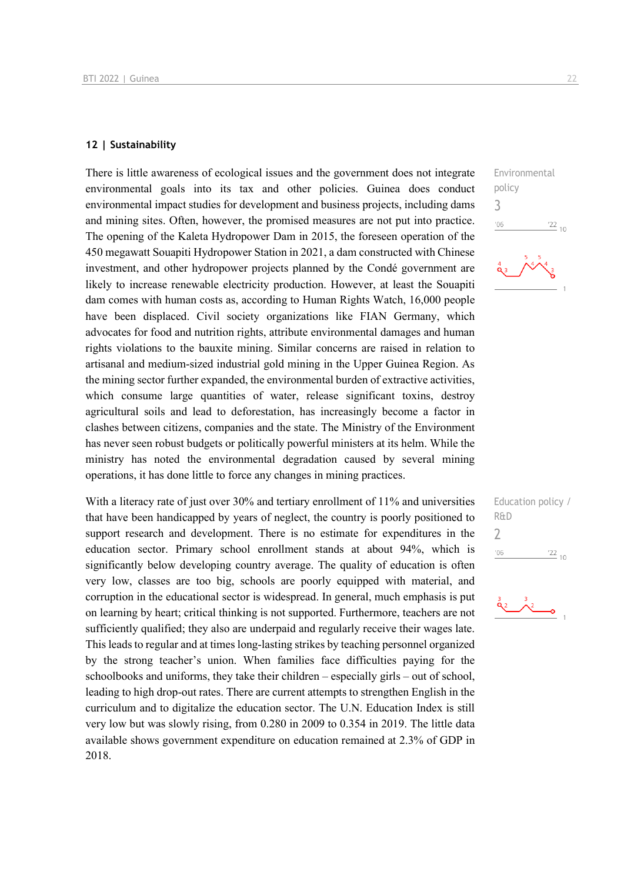#### **12 | Sustainability**

There is little awareness of ecological issues and the government does not integrate environmental goals into its tax and other policies. Guinea does conduct environmental impact studies for development and business projects, including dams and mining sites. Often, however, the promised measures are not put into practice. The opening of the Kaleta Hydropower Dam in 2015, the foreseen operation of the 450 megawatt Souapiti Hydropower Station in 2021, a dam constructed with Chinese investment, and other hydropower projects planned by the Condé government are likely to increase renewable electricity production. However, at least the Souapiti dam comes with human costs as, according to Human Rights Watch, 16,000 people have been displaced. Civil society organizations like FIAN Germany, which advocates for food and nutrition rights, attribute environmental damages and human rights violations to the bauxite mining. Similar concerns are raised in relation to artisanal and medium-sized industrial gold mining in the Upper Guinea Region. As the mining sector further expanded, the environmental burden of extractive activities, which consume large quantities of water, release significant toxins, destroy agricultural soils and lead to deforestation, has increasingly become a factor in clashes between citizens, companies and the state. The Ministry of the Environment has never seen robust budgets or politically powerful ministers at its helm. While the ministry has noted the environmental degradation caused by several mining operations, it has done little to force any changes in mining practices.

With a literacy rate of just over 30% and tertiary enrollment of 11% and universities that have been handicapped by years of neglect, the country is poorly positioned to support research and development. There is no estimate for expenditures in the education sector. Primary school enrollment stands at about 94%, which is significantly below developing country average. The quality of education is often very low, classes are too big, schools are poorly equipped with material, and corruption in the educational sector is widespread. In general, much emphasis is put on learning by heart; critical thinking is not supported. Furthermore, teachers are not sufficiently qualified; they also are underpaid and regularly receive their wages late. This leads to regular and at times long-lasting strikes by teaching personnel organized by the strong teacher's union. When families face difficulties paying for the schoolbooks and uniforms, they take their children – especially girls – out of school, leading to high drop-out rates. There are current attempts to strengthen English in the curriculum and to digitalize the education sector. The U.N. Education Index is still very low but was slowly rising, from 0.280 in 2009 to 0.354 in 2019. The little data available shows government expenditure on education remained at 2.3% of GDP in 2018.

Environmental policy 3  $06'$  $\frac{22}{10}$ 



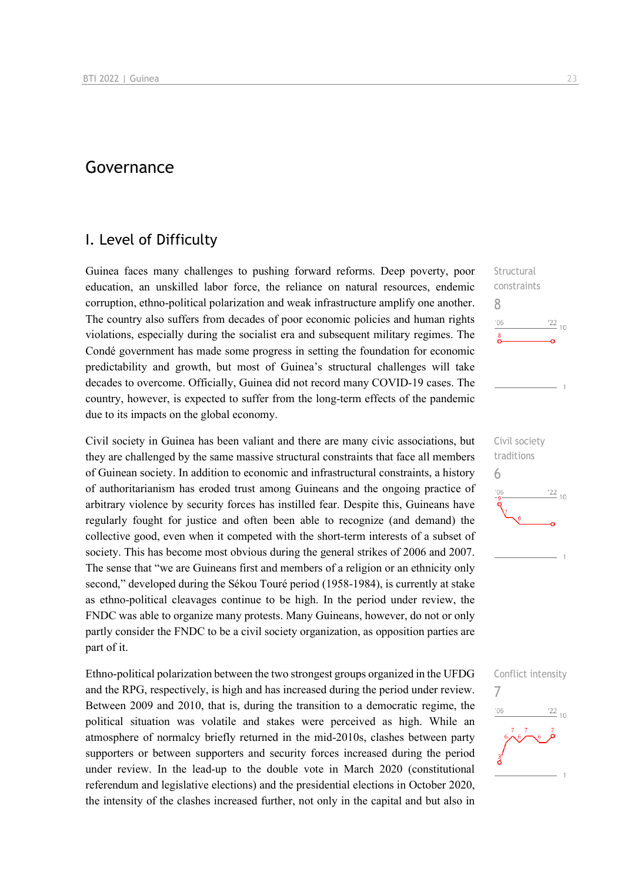## Governance

## I. Level of Difficulty

Guinea faces many challenges to pushing forward reforms. Deep poverty, poor education, an unskilled labor force, the reliance on natural resources, endemic corruption, ethno-political polarization and weak infrastructure amplify one another. The country also suffers from decades of poor economic policies and human rights violations, especially during the socialist era and subsequent military regimes. The Condé government has made some progress in setting the foundation for economic predictability and growth, but most of Guinea's structural challenges will take decades to overcome. Officially, Guinea did not record many COVID-19 cases. The country, however, is expected to suffer from the long-term effects of the pandemic due to its impacts on the global economy.

Civil society in Guinea has been valiant and there are many civic associations, but they are challenged by the same massive structural constraints that face all members of Guinean society. In addition to economic and infrastructural constraints, a history of authoritarianism has eroded trust among Guineans and the ongoing practice of arbitrary violence by security forces has instilled fear. Despite this, Guineans have regularly fought for justice and often been able to recognize (and demand) the collective good, even when it competed with the short-term interests of a subset of society. This has become most obvious during the general strikes of 2006 and 2007. The sense that "we are Guineans first and members of a religion or an ethnicity only second," developed during the Sékou Touré period (1958-1984), is currently at stake as ethno-political cleavages continue to be high. In the period under review, the FNDC was able to organize many protests. Many Guineans, however, do not or only partly consider the FNDC to be a civil society organization, as opposition parties are part of it.

Ethno-political polarization between the two strongest groups organized in the UFDG and the RPG, respectively, is high and has increased during the period under review. Between 2009 and 2010, that is, during the transition to a democratic regime, the political situation was volatile and stakes were perceived as high. While an atmosphere of normalcy briefly returned in the mid-2010s, clashes between party supporters or between supporters and security forces increased during the period under review. In the lead-up to the double vote in March 2020 (constitutional referendum and legislative elections) and the presidential elections in October 2020, the intensity of the clashes increased further, not only in the capital and but also in

 $106$  $\frac{22}{10}$ Civil society traditions 6  $\frac{22}{10}$  $106$ 

**Structural** constraints

8

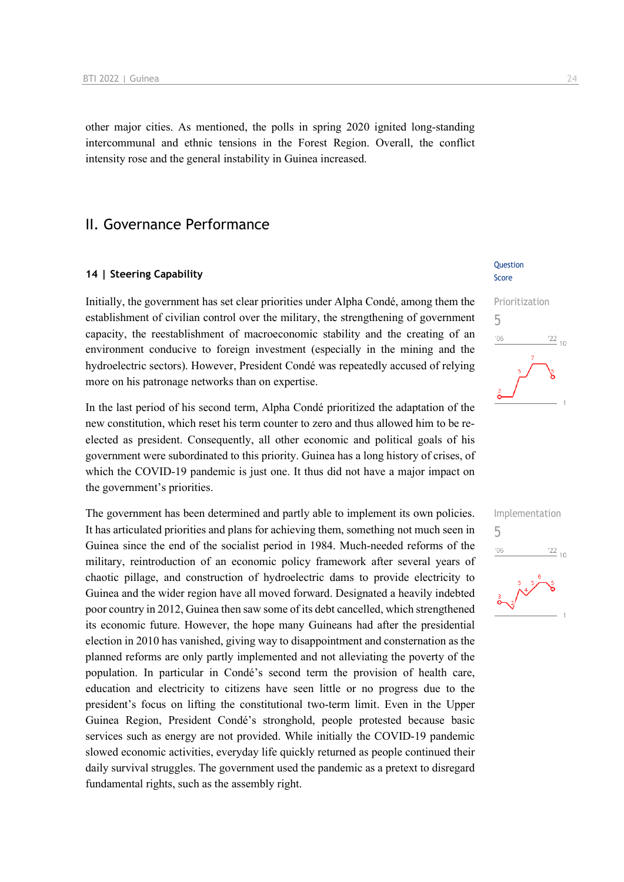other major cities. As mentioned, the polls in spring 2020 ignited long-standing intercommunal and ethnic tensions in the Forest Region. Overall, the conflict intensity rose and the general instability in Guinea increased.

## II. Governance Performance

#### **14 | Steering Capability**

Initially, the government has set clear priorities under Alpha Condé, among them the establishment of civilian control over the military, the strengthening of government capacity, the reestablishment of macroeconomic stability and the creating of an environment conducive to foreign investment (especially in the mining and the hydroelectric sectors). However, President Condé was repeatedly accused of relying more on his patronage networks than on expertise.

In the last period of his second term, Alpha Condé prioritized the adaptation of the new constitution, which reset his term counter to zero and thus allowed him to be reelected as president. Consequently, all other economic and political goals of his government were subordinated to this priority. Guinea has a long history of crises, of which the COVID-19 pandemic is just one. It thus did not have a major impact on the government's priorities.

The government has been determined and partly able to implement its own policies. It has articulated priorities and plans for achieving them, something not much seen in Guinea since the end of the socialist period in 1984. Much-needed reforms of the military, reintroduction of an economic policy framework after several years of chaotic pillage, and construction of hydroelectric dams to provide electricity to Guinea and the wider region have all moved forward. Designated a heavily indebted poor country in 2012, Guinea then saw some of its debt cancelled, which strengthened its economic future. However, the hope many Guineans had after the presidential election in 2010 has vanished, giving way to disappointment and consternation as the planned reforms are only partly implemented and not alleviating the poverty of the population. In particular in Condé's second term the provision of health care, education and electricity to citizens have seen little or no progress due to the president's focus on lifting the constitutional two-term limit. Even in the Upper Guinea Region, President Condé's stronghold, people protested because basic services such as energy are not provided. While initially the COVID-19 pandemic slowed economic activities, everyday life quickly returned as people continued their daily survival struggles. The government used the pandemic as a pretext to disregard fundamental rights, such as the assembly right.

#### Question Score

# Prioritization 5  $\frac{22}{10}$  $^{\prime}06$

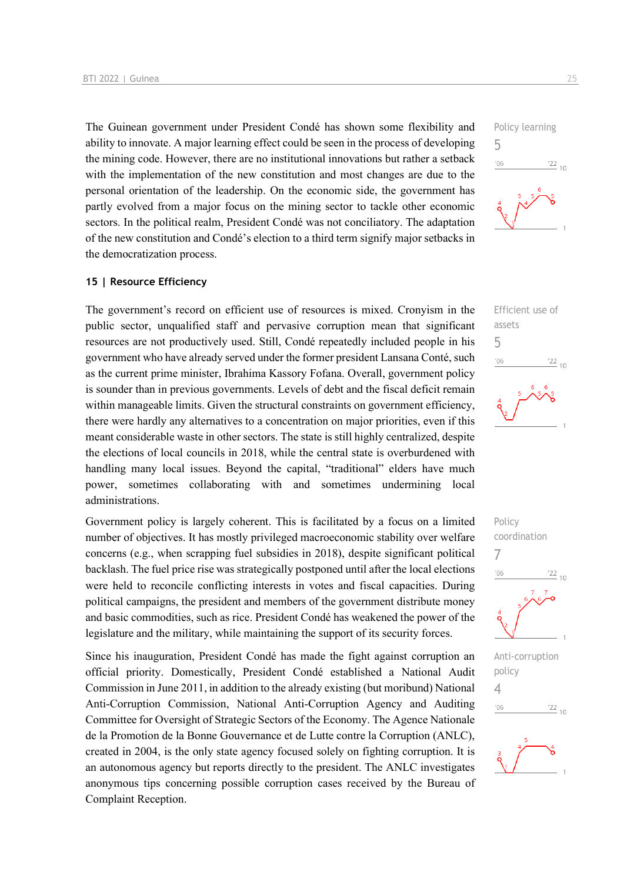The Guinean government under President Condé has shown some flexibility and ability to innovate. A major learning effect could be seen in the process of developing the mining code. However, there are no institutional innovations but rather a setback with the implementation of the new constitution and most changes are due to the personal orientation of the leadership. On the economic side, the government has partly evolved from a major focus on the mining sector to tackle other economic sectors. In the political realm, President Condé was not conciliatory. The adaptation of the new constitution and Condé's election to a third term signify major setbacks in the democratization process.

#### **15 | Resource Efficiency**

The government's record on efficient use of resources is mixed. Cronyism in the public sector, unqualified staff and pervasive corruption mean that significant resources are not productively used. Still, Condé repeatedly included people in his government who have already served under the former president Lansana Conté, such as the current prime minister, Ibrahima Kassory Fofana. Overall, government policy is sounder than in previous governments. Levels of debt and the fiscal deficit remain within manageable limits. Given the structural constraints on government efficiency, there were hardly any alternatives to a concentration on major priorities, even if this meant considerable waste in other sectors. The state is still highly centralized, despite the elections of local councils in 2018, while the central state is overburdened with handling many local issues. Beyond the capital, "traditional" elders have much power, sometimes collaborating with and sometimes undermining local administrations.

Government policy is largely coherent. This is facilitated by a focus on a limited number of objectives. It has mostly privileged macroeconomic stability over welfare concerns (e.g., when scrapping fuel subsidies in 2018), despite significant political backlash. The fuel price rise was strategically postponed until after the local elections were held to reconcile conflicting interests in votes and fiscal capacities. During political campaigns, the president and members of the government distribute money and basic commodities, such as rice. President Condé has weakened the power of the legislature and the military, while maintaining the support of its security forces.

Since his inauguration, President Condé has made the fight against corruption an official priority. Domestically, President Condé established a National Audit Commission in June 2011, in addition to the already existing (but moribund) National Anti-Corruption Commission, National Anti-Corruption Agency and Auditing Committee for Oversight of Strategic Sectors of the Economy. The Agence Nationale de la Promotion de la Bonne Gouvernance et de Lutte contre la Corruption (ANLC), created in 2004, is the only state agency focused solely on fighting corruption. It is an autonomous agency but reports directly to the president. The ANLC investigates anonymous tips concerning possible corruption cases received by the Bureau of Complaint Reception.







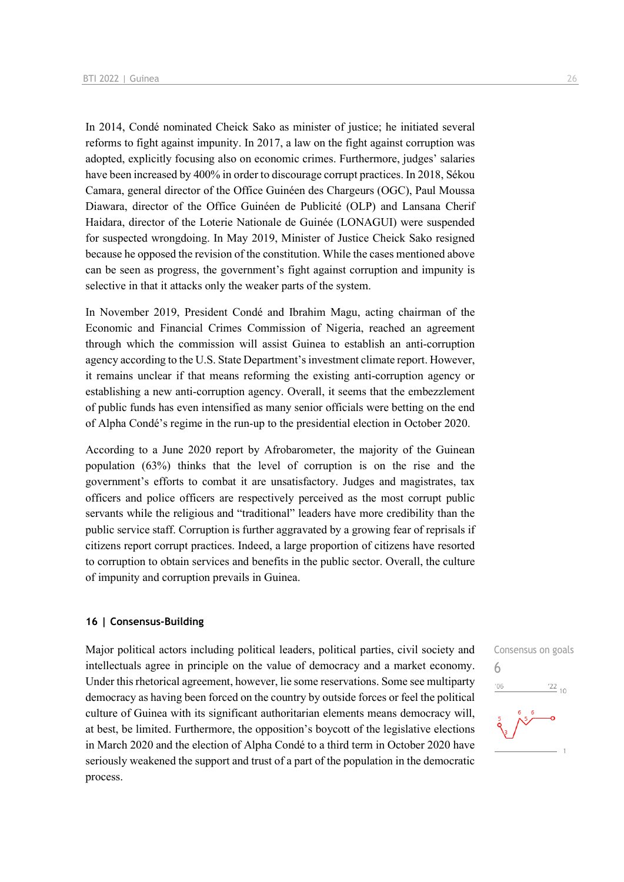In 2014, Condé nominated Cheick Sako as minister of justice; he initiated several reforms to fight against impunity. In 2017, a law on the fight against corruption was adopted, explicitly focusing also on economic crimes. Furthermore, judges' salaries have been increased by 400% in order to discourage corrupt practices. In 2018, Sékou Camara, general director of the Office Guinéen des Chargeurs (OGC), Paul Moussa Diawara, director of the Office Guinéen de Publicité (OLP) and Lansana Cherif Haidara, director of the Loterie Nationale de Guinée (LONAGUI) were suspended for suspected wrongdoing. In May 2019, Minister of Justice Cheick Sako resigned because he opposed the revision of the constitution. While the cases mentioned above can be seen as progress, the government's fight against corruption and impunity is selective in that it attacks only the weaker parts of the system.

In November 2019, President Condé and Ibrahim Magu, acting chairman of the Economic and Financial Crimes Commission of Nigeria, reached an agreement through which the commission will assist Guinea to establish an anti-corruption agency according to the U.S. State Department's investment climate report. However, it remains unclear if that means reforming the existing anti-corruption agency or establishing a new anti-corruption agency. Overall, it seems that the embezzlement of public funds has even intensified as many senior officials were betting on the end of Alpha Condé's regime in the run-up to the presidential election in October 2020.

According to a June 2020 report by Afrobarometer, the majority of the Guinean population (63%) thinks that the level of corruption is on the rise and the government's efforts to combat it are unsatisfactory. Judges and magistrates, tax officers and police officers are respectively perceived as the most corrupt public servants while the religious and "traditional" leaders have more credibility than the public service staff. Corruption is further aggravated by a growing fear of reprisals if citizens report corrupt practices. Indeed, a large proportion of citizens have resorted to corruption to obtain services and benefits in the public sector. Overall, the culture of impunity and corruption prevails in Guinea.

#### **16 | Consensus-Building**

Major political actors including political leaders, political parties, civil society and intellectuals agree in principle on the value of democracy and a market economy. Under this rhetorical agreement, however, lie some reservations. Some see multiparty democracy as having been forced on the country by outside forces or feel the political culture of Guinea with its significant authoritarian elements means democracy will, at best, be limited. Furthermore, the opposition's boycott of the legislative elections in March 2020 and the election of Alpha Condé to a third term in October 2020 have seriously weakened the support and trust of a part of the population in the democratic process.

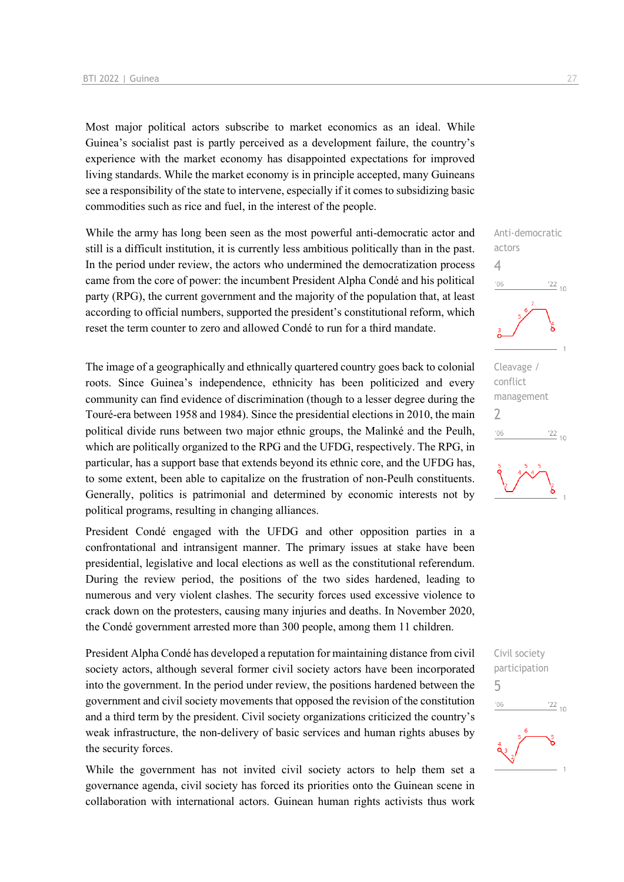Most major political actors subscribe to market economics as an ideal. While Guinea's socialist past is partly perceived as a development failure, the country's experience with the market economy has disappointed expectations for improved living standards. While the market economy is in principle accepted, many Guineans see a responsibility of the state to intervene, especially if it comes to subsidizing basic commodities such as rice and fuel, in the interest of the people.

While the army has long been seen as the most powerful anti-democratic actor and still is a difficult institution, it is currently less ambitious politically than in the past. In the period under review, the actors who undermined the democratization process came from the core of power: the incumbent President Alpha Condé and his political party (RPG), the current government and the majority of the population that, at least according to official numbers, supported the president's constitutional reform, which reset the term counter to zero and allowed Condé to run for a third mandate.

The image of a geographically and ethnically quartered country goes back to colonial roots. Since Guinea's independence, ethnicity has been politicized and every community can find evidence of discrimination (though to a lesser degree during the Touré-era between 1958 and 1984). Since the presidential elections in 2010, the main political divide runs between two major ethnic groups, the Malinké and the Peulh, which are politically organized to the RPG and the UFDG, respectively. The RPG, in particular, has a support base that extends beyond its ethnic core, and the UFDG has, to some extent, been able to capitalize on the frustration of non-Peulh constituents. Generally, politics is patrimonial and determined by economic interests not by political programs, resulting in changing alliances.

President Condé engaged with the UFDG and other opposition parties in a confrontational and intransigent manner. The primary issues at stake have been presidential, legislative and local elections as well as the constitutional referendum. During the review period, the positions of the two sides hardened, leading to numerous and very violent clashes. The security forces used excessive violence to crack down on the protesters, causing many injuries and deaths. In November 2020, the Condé government arrested more than 300 people, among them 11 children.

President Alpha Condé has developed a reputation for maintaining distance from civil society actors, although several former civil society actors have been incorporated into the government. In the period under review, the positions hardened between the government and civil society movements that opposed the revision of the constitution and a third term by the president. Civil society organizations criticized the country's weak infrastructure, the non-delivery of basic services and human rights abuses by the security forces.

While the government has not invited civil society actors to help them set a governance agenda, civil society has forced its priorities onto the Guinean scene in collaboration with international actors. Guinean human rights activists thus work



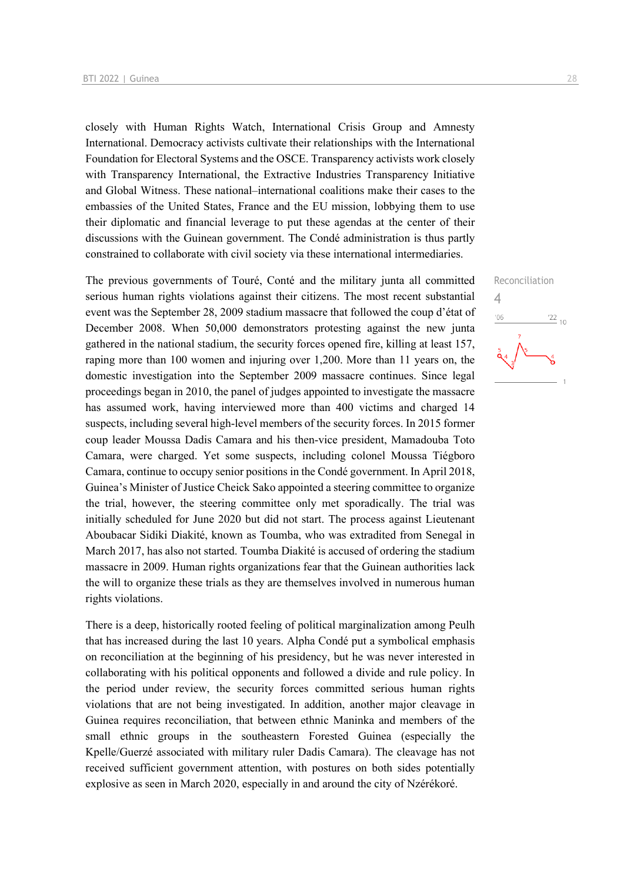closely with Human Rights Watch, International Crisis Group and Amnesty International. Democracy activists cultivate their relationships with the International Foundation for Electoral Systems and the OSCE. Transparency activists work closely with Transparency International, the Extractive Industries Transparency Initiative and Global Witness. These national–international coalitions make their cases to the embassies of the United States, France and the EU mission, lobbying them to use their diplomatic and financial leverage to put these agendas at the center of their discussions with the Guinean government. The Condé administration is thus partly constrained to collaborate with civil society via these international intermediaries.

The previous governments of Touré, Conté and the military junta all committed serious human rights violations against their citizens. The most recent substantial event was the September 28, 2009 stadium massacre that followed the coup d'état of December 2008. When 50,000 demonstrators protesting against the new junta gathered in the national stadium, the security forces opened fire, killing at least 157, raping more than 100 women and injuring over 1,200. More than 11 years on, the domestic investigation into the September 2009 massacre continues. Since legal proceedings began in 2010, the panel of judges appointed to investigate the massacre has assumed work, having interviewed more than 400 victims and charged 14 suspects, including several high-level members of the security forces. In 2015 former coup leader Moussa Dadis Camara and his then-vice president, Mamadouba Toto Camara, were charged. Yet some suspects, including colonel Moussa Tiégboro Camara, continue to occupy senior positions in the Condé government. In April 2018, Guinea's Minister of Justice Cheick Sako appointed a steering committee to organize the trial, however, the steering committee only met sporadically. The trial was initially scheduled for June 2020 but did not start. The process against Lieutenant Aboubacar Sidiki Diakité, known as Toumba, who was extradited from Senegal in March 2017, has also not started. Toumba Diakité is accused of ordering the stadium massacre in 2009. Human rights organizations fear that the Guinean authorities lack the will to organize these trials as they are themselves involved in numerous human rights violations.

There is a deep, historically rooted feeling of political marginalization among Peulh that has increased during the last 10 years. Alpha Condé put a symbolical emphasis on reconciliation at the beginning of his presidency, but he was never interested in collaborating with his political opponents and followed a divide and rule policy. In the period under review, the security forces committed serious human rights violations that are not being investigated. In addition, another major cleavage in Guinea requires reconciliation, that between ethnic Maninka and members of the small ethnic groups in the southeastern Forested Guinea (especially the Kpelle/Guerzé associated with military ruler Dadis Camara). The cleavage has not received sufficient government attention, with postures on both sides potentially explosive as seen in March 2020, especially in and around the city of Nzérékoré.

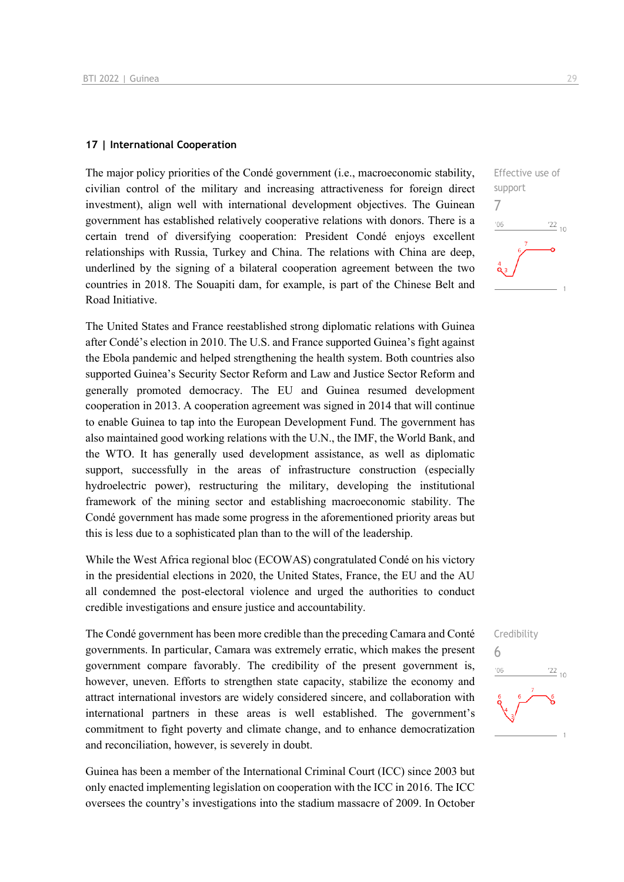#### **17 | International Cooperation**

The major policy priorities of the Condé government (i.e., macroeconomic stability, civilian control of the military and increasing attractiveness for foreign direct investment), align well with international development objectives. The Guinean government has established relatively cooperative relations with donors. There is a certain trend of diversifying cooperation: President Condé enjoys excellent relationships with Russia, Turkey and China. The relations with China are deep, underlined by the signing of a bilateral cooperation agreement between the two countries in 2018. The Souapiti dam, for example, is part of the Chinese Belt and Road Initiative.

The United States and France reestablished strong diplomatic relations with Guinea after Condé's election in 2010. The U.S. and France supported Guinea's fight against the Ebola pandemic and helped strengthening the health system. Both countries also supported Guinea's Security Sector Reform and Law and Justice Sector Reform and generally promoted democracy. The EU and Guinea resumed development cooperation in 2013. A cooperation agreement was signed in 2014 that will continue to enable Guinea to tap into the European Development Fund. The government has also maintained good working relations with the U.N., the IMF, the World Bank, and the WTO. It has generally used development assistance, as well as diplomatic support, successfully in the areas of infrastructure construction (especially hydroelectric power), restructuring the military, developing the institutional framework of the mining sector and establishing macroeconomic stability. The Condé government has made some progress in the aforementioned priority areas but this is less due to a sophisticated plan than to the will of the leadership.

While the West Africa regional bloc (ECOWAS) congratulated Condé on his victory in the presidential elections in 2020, the United States, France, the EU and the AU all condemned the post-electoral violence and urged the authorities to conduct credible investigations and ensure justice and accountability.

The Condé government has been more credible than the preceding Camara and Conté governments. In particular, Camara was extremely erratic, which makes the present government compare favorably. The credibility of the present government is, however, uneven. Efforts to strengthen state capacity, stabilize the economy and attract international investors are widely considered sincere, and collaboration with international partners in these areas is well established. The government's commitment to fight poverty and climate change, and to enhance democratization and reconciliation, however, is severely in doubt.

Guinea has been a member of the International Criminal Court (ICC) since 2003 but only enacted implementing legislation on cooperation with the ICC in 2016. The ICC oversees the country's investigations into the stadium massacre of 2009. In October



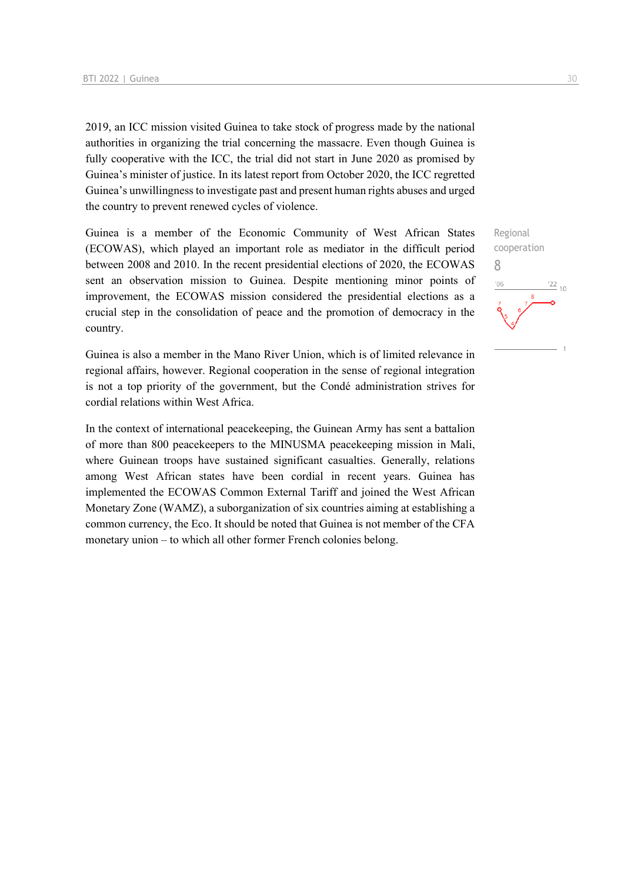2019, an ICC mission visited Guinea to take stock of progress made by the national authorities in organizing the trial concerning the massacre. Even though Guinea is fully cooperative with the ICC, the trial did not start in June 2020 as promised by Guinea's minister of justice. In its latest report from October 2020, the ICC regretted Guinea's unwillingness to investigate past and present human rights abuses and urged the country to prevent renewed cycles of violence.

Guinea is a member of the Economic Community of West African States (ECOWAS), which played an important role as mediator in the difficult period between 2008 and 2010. In the recent presidential elections of 2020, the ECOWAS sent an observation mission to Guinea. Despite mentioning minor points of improvement, the ECOWAS mission considered the presidential elections as a crucial step in the consolidation of peace and the promotion of democracy in the country.

Guinea is also a member in the Mano River Union, which is of limited relevance in regional affairs, however. Regional cooperation in the sense of regional integration is not a top priority of the government, but the Condé administration strives for cordial relations within West Africa.

In the context of international peacekeeping, the Guinean Army has sent a battalion of more than 800 peacekeepers to the MINUSMA peacekeeping mission in Mali, where Guinean troops have sustained significant casualties. Generally, relations among West African states have been cordial in recent years. Guinea has implemented the ECOWAS Common External Tariff and joined the West African Monetary Zone (WAMZ), a suborganization of six countries aiming at establishing a common currency, the Eco. It should be noted that Guinea is not member of the CFA monetary union – to which all other former French colonies belong.